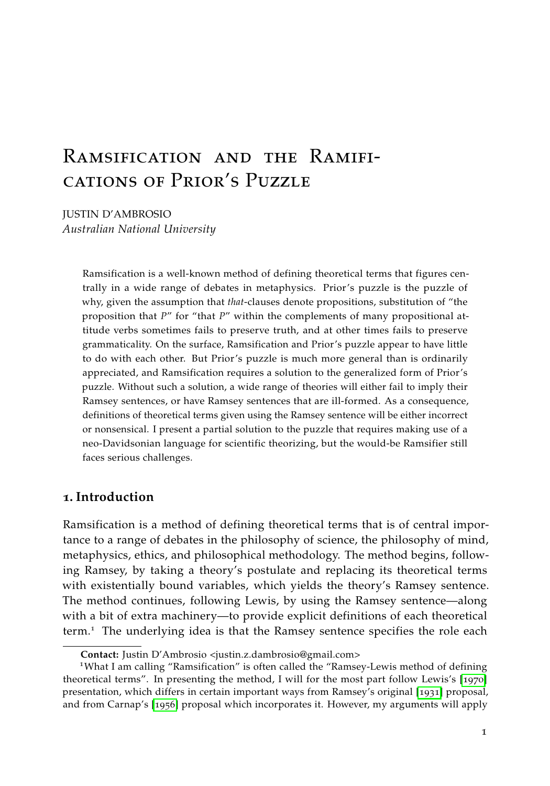# Ramsification and the Ramifications of Prior's Puzzle

JUSTIN D'AMBROSIO *Australian National University*

> Ramsification is a well-known method of defining theoretical terms that figures centrally in a wide range of debates in metaphysics. Prior's puzzle is the puzzle of why, given the assumption that *that*-clauses denote propositions, substitution of "the proposition that *P*" for "that *P*" within the complements of many propositional attitude verbs sometimes fails to preserve truth, and at other times fails to preserve grammaticality. On the surface, Ramsification and Prior's puzzle appear to have little to do with each other. But Prior's puzzle is much more general than is ordinarily appreciated, and Ramsification requires a solution to the generalized form of Prior's puzzle. Without such a solution, a wide range of theories will either fail to imply their Ramsey sentences, or have Ramsey sentences that are ill-formed. As a consequence, definitions of theoretical terms given using the Ramsey sentence will be either incorrect or nonsensical. I present a partial solution to the puzzle that requires making use of a neo-Davidsonian language for scientific theorizing, but the would-be Ramsifier still faces serious challenges.

## **1. Introduction**

Ramsification is a method of defining theoretical terms that is of central importance to a range of debates in the philosophy of science, the philosophy of mind, metaphysics, ethics, and philosophical methodology. The method begins, following Ramsey, by taking a theory's postulate and replacing its theoretical terms with existentially bound variables, which yields the theory's Ramsey sentence. The method continues, following Lewis, by using the Ramsey sentence—along with a bit of extra machinery—to provide explicit definitions of each theoretical term.<sup>1</sup> The underlying idea is that the Ramsey sentence specifies the role each

**Contact:** Justin D'Ambrosio <justin.z.dambrosio@gmail.com>

<sup>&</sup>lt;sup>1</sup>What I am calling "Ramsification" is often called the "Ramsey-Lewis method of defining theoretical terms". In presenting the method, I will for the most part follow Lewis's [[1970](#page-30-0)] presentation, which differs in certain important ways from Ramsey's original [[1931](#page-31-0)] proposal, and from Carnap's [[1956](#page-29-0)] proposal which incorporates it. However, my arguments will apply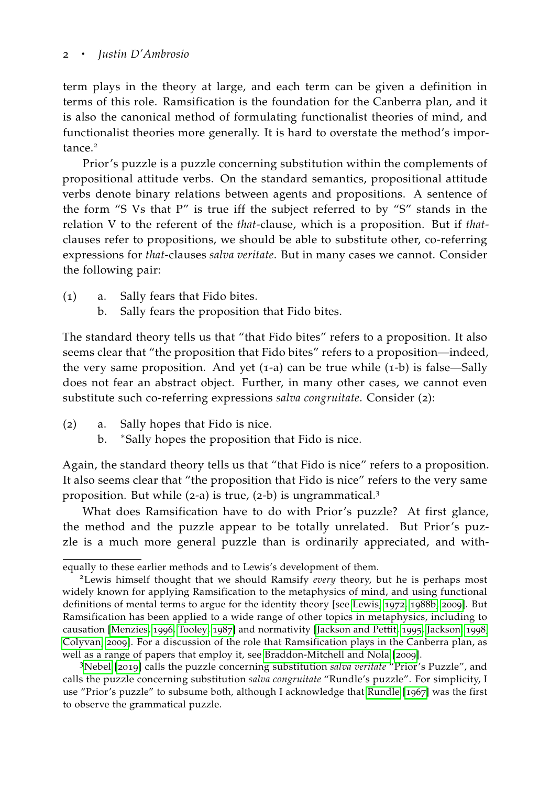#### <sup>2</sup> · *Justin D'Ambrosio*

term plays in the theory at large, and each term can be given a definition in terms of this role. Ramsification is the foundation for the Canberra plan, and it is also the canonical method of formulating functionalist theories of mind, and functionalist theories more generally. It is hard to overstate the method's importance.<sup>2</sup>

Prior's puzzle is a puzzle concerning substitution within the complements of propositional attitude verbs. On the standard semantics, propositional attitude verbs denote binary relations between agents and propositions. A sentence of the form "S Vs that P" is true iff the subject referred to by "S" stands in the relation V to the referent of the *that*-clause, which is a proposition. But if *that*clauses refer to propositions, we should be able to substitute other, co-referring expressions for *that*-clauses *salva veritate*. But in many cases we cannot. Consider the following pair:

- (1) a. Sally fears that Fido bites.
	- b. Sally fears the proposition that Fido bites.

The standard theory tells us that "that Fido bites" refers to a proposition. It also seems clear that "the proposition that Fido bites" refers to a proposition—indeed, the very same proposition. And yet  $(1-a)$  can be true while  $(1-b)$  is false—Sally does not fear an abstract object. Further, in many other cases, we cannot even substitute such co-referring expressions *salva congruitate*. Consider (2):

- (2) a. Sally hopes that Fido is nice.
	- b. <sup>∗</sup>Sally hopes the proposition that Fido is nice.

Again, the standard theory tells us that "that Fido is nice" refers to a proposition. It also seems clear that "the proposition that Fido is nice" refers to the very same proposition. But while (2-a) is true, (2-b) is ungrammatical.<sup>3</sup>

What does Ramsification have to do with Prior's puzzle? At first glance, the method and the puzzle appear to be totally unrelated. But Prior's puzzle is a much more general puzzle than is ordinarily appreciated, and with-

<sup>3</sup>[Nebel](#page-30-7) [[2019](#page-30-7)] calls the puzzle concerning substitution *salva veritate* "Prior's Puzzle", and calls the puzzle concerning substitution *salva congruitate* "Rundle's puzzle". For simplicity, I use "Prior's puzzle" to subsume both, although I acknowledge that [Rundle](#page-31-2) [[1967](#page-31-2)] was the first to observe the grammatical puzzle.

equally to these earlier methods and to Lewis's development of them.

<sup>2</sup>Lewis himself thought that we should Ramsify *every* theory, but he is perhaps most widely known for applying Ramsification to the metaphysics of mind, and using functional definitions of mental terms to argue for the identity theory [see [Lewis,](#page-30-1) [1972](#page-30-1), [1988](#page-30-2)b, [2009](#page-30-3)]. But Ramsification has been applied to a wide range of other topics in metaphysics, including to causation [\[Menzies,](#page-30-4) [1996](#page-30-4), [Tooley,](#page-31-1) [1987](#page-31-1)] and normativity [\[Jackson and Pettit,](#page-30-5) [1995](#page-30-5), [Jackson,](#page-30-6) [1998](#page-30-6), [Colyvan,](#page-29-1) [2009](#page-29-1)]. For a discussion of the role that Ramsification plays in the Canberra plan, as well as a range of papers that employ it, see [Braddon-Mitchell and Nola](#page-29-2) [[2009](#page-29-2)].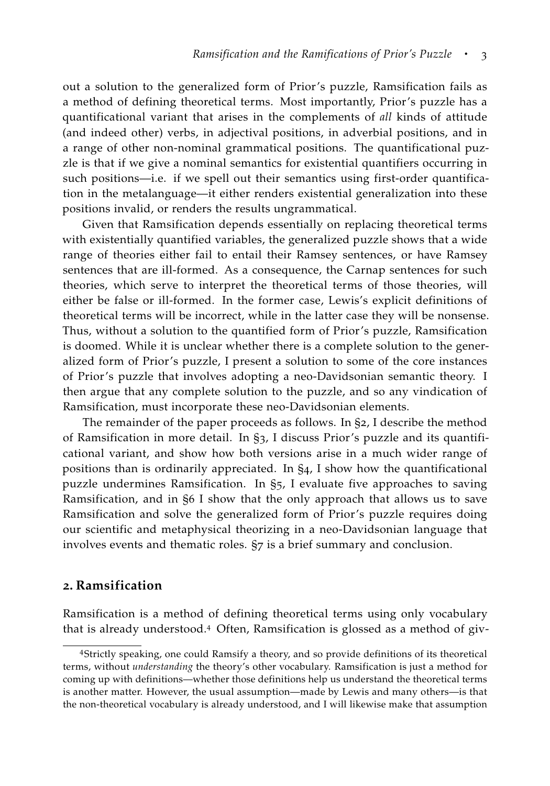out a solution to the generalized form of Prior's puzzle, Ramsification fails as a method of defining theoretical terms. Most importantly, Prior's puzzle has a quantificational variant that arises in the complements of *all* kinds of attitude (and indeed other) verbs, in adjectival positions, in adverbial positions, and in a range of other non-nominal grammatical positions. The quantificational puzzle is that if we give a nominal semantics for existential quantifiers occurring in such positions—i.e. if we spell out their semantics using first-order quantification in the metalanguage—it either renders existential generalization into these positions invalid, or renders the results ungrammatical.

Given that Ramsification depends essentially on replacing theoretical terms with existentially quantified variables, the generalized puzzle shows that a wide range of theories either fail to entail their Ramsey sentences, or have Ramsey sentences that are ill-formed. As a consequence, the Carnap sentences for such theories, which serve to interpret the theoretical terms of those theories, will either be false or ill-formed. In the former case, Lewis's explicit definitions of theoretical terms will be incorrect, while in the latter case they will be nonsense. Thus, without a solution to the quantified form of Prior's puzzle, Ramsification is doomed. While it is unclear whether there is a complete solution to the generalized form of Prior's puzzle, I present a solution to some of the core instances of Prior's puzzle that involves adopting a neo-Davidsonian semantic theory. I then argue that any complete solution to the puzzle, and so any vindication of Ramsification, must incorporate these neo-Davidsonian elements.

The remainder of the paper proceeds as follows. In §2, I describe the method of Ramsification in more detail. In §3, I discuss Prior's puzzle and its quantificational variant, and show how both versions arise in a much wider range of positions than is ordinarily appreciated. In §4, I show how the quantificational puzzle undermines Ramsification. In §5, I evaluate five approaches to saving Ramsification, and in §6 I show that the only approach that allows us to save Ramsification and solve the generalized form of Prior's puzzle requires doing our scientific and metaphysical theorizing in a neo-Davidsonian language that involves events and thematic roles. §7 is a brief summary and conclusion.

#### **2. Ramsification**

Ramsification is a method of defining theoretical terms using only vocabulary that is already understood.<sup>4</sup> Often, Ramsification is glossed as a method of giv-

<sup>4</sup>Strictly speaking, one could Ramsify a theory, and so provide definitions of its theoretical terms, without *understanding* the theory's other vocabulary. Ramsification is just a method for coming up with definitions—whether those definitions help us understand the theoretical terms is another matter. However, the usual assumption—made by Lewis and many others—is that the non-theoretical vocabulary is already understood, and I will likewise make that assumption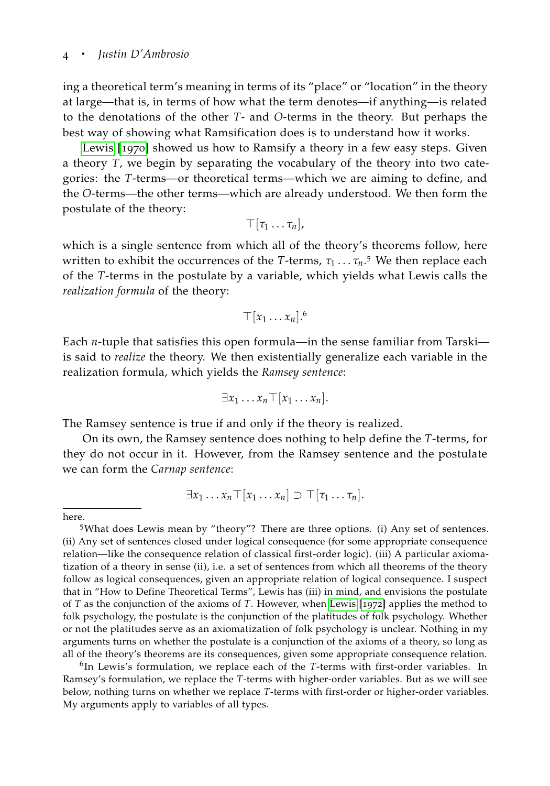#### <sup>4</sup> · *Justin D'Ambrosio*

ing a theoretical term's meaning in terms of its "place" or "location" in the theory at large—that is, in terms of how what the term denotes—if anything—is related to the denotations of the other *T*- and *O*-terms in the theory. But perhaps the best way of showing what Ramsification does is to understand how it works.

[Lewis](#page-30-0) [[1970](#page-30-0)] showed us how to Ramsify a theory in a few easy steps. Given a theory *T*, we begin by separating the vocabulary of the theory into two categories: the *T*-terms—or theoretical terms—which we are aiming to define, and the *O*-terms—the other terms—which are already understood. We then form the postulate of the theory:

 $\top$  $[\tau_1 \ldots \tau_n]$ ,

which is a single sentence from which all of the theory's theorems follow, here written to exhibit the occurrences of the *T*-terms,  $τ_1 \dots τ_n$ <sup>5</sup> We then replace each of the *T*-terms in the postulate by a variable, which yields what Lewis calls the *realization formula* of the theory:

$$
\top [x_1 \ldots x_n].^6
$$

Each *n*-tuple that satisfies this open formula—in the sense familiar from Tarski is said to *realize* the theory. We then existentially generalize each variable in the realization formula, which yields the *Ramsey sentence*:

$$
\exists x_1 \ldots x_n \top [x_1 \ldots x_n].
$$

The Ramsey sentence is true if and only if the theory is realized.

On its own, the Ramsey sentence does nothing to help define the *T*-terms, for they do not occur in it. However, from the Ramsey sentence and the postulate we can form the *Carnap sentence*:

$$
\exists x_1 \ldots x_n \top [x_1 \ldots x_n] \supset \top [\tau_1 \ldots \tau_n].
$$

here.

<sup>6</sup>In Lewis's formulation, we replace each of the *T*-terms with first-order variables. In Ramsey's formulation, we replace the *T*-terms with higher-order variables. But as we will see below, nothing turns on whether we replace *T*-terms with first-order or higher-order variables. My arguments apply to variables of all types.

<sup>5</sup>What does Lewis mean by "theory"? There are three options. (i) Any set of sentences. (ii) Any set of sentences closed under logical consequence (for some appropriate consequence relation—like the consequence relation of classical first-order logic). (iii) A particular axiomatization of a theory in sense (ii), i.e. a set of sentences from which all theorems of the theory follow as logical consequences, given an appropriate relation of logical consequence. I suspect that in "How to Define Theoretical Terms", Lewis has (iii) in mind, and envisions the postulate of *T* as the conjunction of the axioms of *T*. However, when [Lewis](#page-30-1) [[1972](#page-30-1)] applies the method to folk psychology, the postulate is the conjunction of the platitudes of folk psychology. Whether or not the platitudes serve as an axiomatization of folk psychology is unclear. Nothing in my arguments turns on whether the postulate is a conjunction of the axioms of a theory, so long as all of the theory's theorems are its consequences, given some appropriate consequence relation.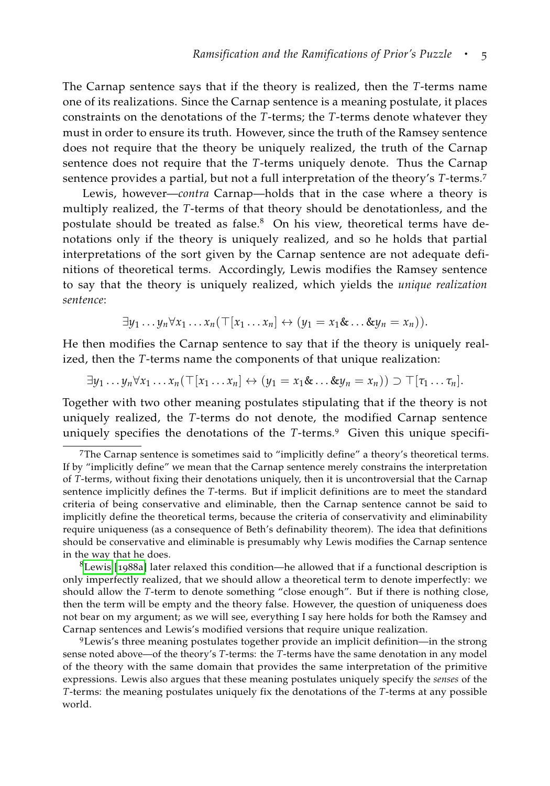The Carnap sentence says that if the theory is realized, then the *T*-terms name one of its realizations. Since the Carnap sentence is a meaning postulate, it places constraints on the denotations of the *T*-terms; the *T*-terms denote whatever they must in order to ensure its truth. However, since the truth of the Ramsey sentence does not require that the theory be uniquely realized, the truth of the Carnap sentence does not require that the *T*-terms uniquely denote. Thus the Carnap sentence provides a partial, but not a full interpretation of the theory's *T*-terms.<sup>7</sup>

Lewis, however—*contra* Carnap—holds that in the case where a theory is multiply realized, the *T*-terms of that theory should be denotationless, and the postulate should be treated as false.<sup>8</sup> On his view, theoretical terms have denotations only if the theory is uniquely realized, and so he holds that partial interpretations of the sort given by the Carnap sentence are not adequate definitions of theoretical terms. Accordingly, Lewis modifies the Ramsey sentence to say that the theory is uniquely realized, which yields the *unique realization sentence*:

$$
\exists y_1 \ldots y_n \forall x_1 \ldots x_n (\top [x_1 \ldots x_n] \leftrightarrow (y_1 = x_1 \& \ldots \& y_n = x_n)).
$$

He then modifies the Carnap sentence to say that if the theory is uniquely realized, then the *T*-terms name the components of that unique realization:

$$
\exists y_1 \ldots y_n \forall x_1 \ldots x_n (\top [x_1 \ldots x_n] \leftrightarrow (y_1 = x_1 \& \ldots \& y_n = x_n)) \supset \top [\tau_1 \ldots \tau_n].
$$

Together with two other meaning postulates stipulating that if the theory is not uniquely realized, the *T*-terms do not denote, the modified Carnap sentence uniquely specifies the denotations of the *T*-terms.<sup>9</sup> Given this unique specifi-

<sup>7</sup>The Carnap sentence is sometimes said to "implicitly define" a theory's theoretical terms. If by "implicitly define" we mean that the Carnap sentence merely constrains the interpretation of *T*-terms, without fixing their denotations uniquely, then it is uncontroversial that the Carnap sentence implicitly defines the *T*-terms. But if implicit definitions are to meet the standard criteria of being conservative and eliminable, then the Carnap sentence cannot be said to implicitly define the theoretical terms, because the criteria of conservativity and eliminability require uniqueness (as a consequence of Beth's definability theorem). The idea that definitions should be conservative and eliminable is presumably why Lewis modifies the Carnap sentence in the way that he does.

 ${}^{8}$ [Lewis](#page-30-8) [[1988](#page-30-8)a] later relaxed this condition—he allowed that if a functional description is only imperfectly realized, that we should allow a theoretical term to denote imperfectly: we should allow the *T*-term to denote something "close enough". But if there is nothing close, then the term will be empty and the theory false. However, the question of uniqueness does not bear on my argument; as we will see, everything I say here holds for both the Ramsey and Carnap sentences and Lewis's modified versions that require unique realization.

<sup>9</sup>Lewis's three meaning postulates together provide an implicit definition—in the strong sense noted above—of the theory's *T*-terms: the *T*-terms have the same denotation in any model of the theory with the same domain that provides the same interpretation of the primitive expressions. Lewis also argues that these meaning postulates uniquely specify the *senses* of the *T*-terms: the meaning postulates uniquely fix the denotations of the *T*-terms at any possible world.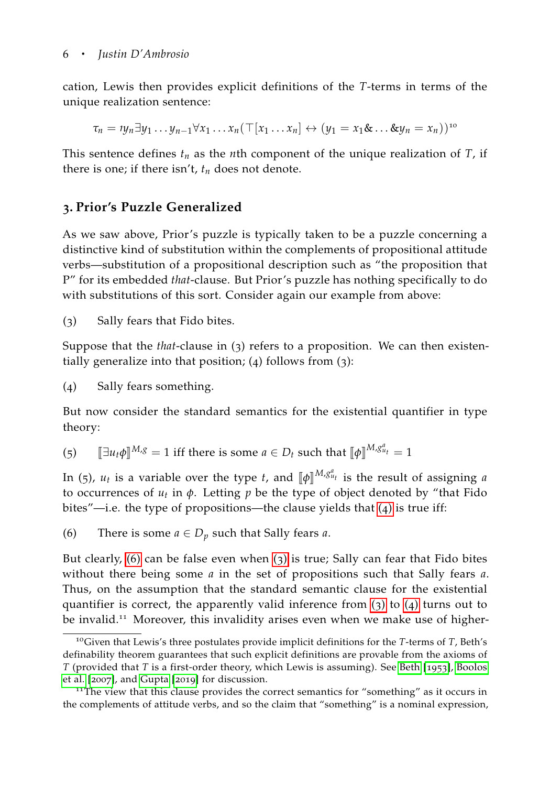cation, Lewis then provides explicit definitions of the *T*-terms in terms of the unique realization sentence:

 $\tau_n = iy_n \exists y_1 \dots y_{n-1} \forall x_1 \dots x_n (\top [x_1 \dots x_n] \leftrightarrow (y_1 = x_1 \& \dots \& y_n = x_n))^{10}$ 

This sentence defines  $t_n$  as the *n*th component of the unique realization of *T*, if there is one; if there isn't,  $t_n$  does not denote.

# **3. Prior's Puzzle Generalized**

As we saw above, Prior's puzzle is typically taken to be a puzzle concerning a distinctive kind of substitution within the complements of propositional attitude verbs—substitution of a propositional description such as "the proposition that P" for its embedded *that*-clause. But Prior's puzzle has nothing specifically to do with substitutions of this sort. Consider again our example from above:

<span id="page-5-2"></span>(3) Sally fears that Fido bites.

<span id="page-5-0"></span>Suppose that the *that*-clause in (3) refers to a proposition. We can then existentially generalize into that position;  $(4)$  follows from  $(3)$ :

(4) Sally fears something.

<span id="page-5-3"></span>But now consider the standard semantics for the existential quantifier in type theory:

(5) 
$$
[\exists u_t \phi]^{M,g} = 1 \text{ iff there is some } a \in D_t \text{ such that } [\![\phi]\!]^{M,g_u^a} = 1
$$

<span id="page-5-1"></span>In (5),  $u_t$  is a variable over the type *t*, and  $[\![\phi]\!]^{M,g_u^a}$  is the result of assigning *a* to assume assay of *u*, in *t*, Letting *u* he the type of chiest denoted by "that Fide to occurrences of *u<sup>t</sup>* in *φ*. Letting *p* be the type of object denoted by "that Fido bites"—i.e. the type of propositions—the clause yields that ([4](#page-5-0)) is true iff:

(6) There is some  $a \in D_p$  such that Sally fears *a*.

But clearly, (6[\)](#page-5-1) can be false even when [\(](#page-5-2)3) is true; Sally can fear that Fido bites without there being some *a* in the set of propositions such that Sally fears *a*. Thus, on the assumption that the standard semantic clause for the existential quantifier is correct, the apparently valid inference from  $(3)$  to  $(4)$  $(4)$  $(4)$  turns out to be invalid.<sup>11</sup> Moreover, this invalidity arises even when we make use of higher-

<sup>10</sup>Given that Lewis's three postulates provide implicit definitions for the *T*-terms of *T*, Beth's definability theorem guarantees that such explicit definitions are provable from the axioms of *T* (provided that *T* is a first-order theory, which Lewis is assuming). See [Beth](#page-29-3) [[1953](#page-29-3)], [Boolos](#page-29-4) [et al.](#page-29-4) [[2007](#page-29-4)], and [Gupta](#page-29-5) [[2019](#page-29-5)] for discussion.

 $11$ The view that this clause provides the correct semantics for "something" as it occurs in the complements of attitude verbs, and so the claim that "something" is a nominal expression,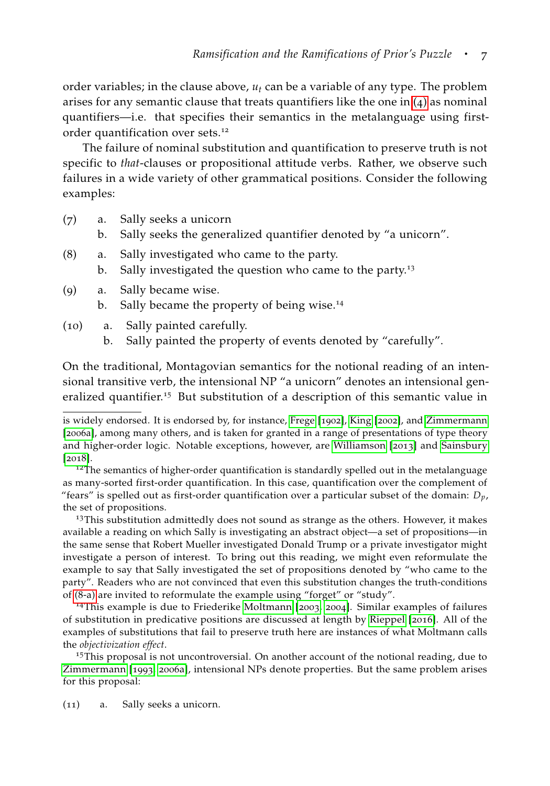order variables; in the clause above,  $u_t$  can be a variable of any type. The problem arises for any semantic clause that treats quantifiers like the one in ([4](#page-5-0)) as nominal quantifiers—i.e. that specifies their semantics in the metalanguage using firstorder quantification over sets.<sup>12</sup>

The failure of nominal substitution and quantification to preserve truth is not specific to *that*-clauses or propositional attitude verbs. Rather, we observe such failures in a wide variety of other grammatical positions. Consider the following examples:

- <span id="page-6-3"></span><span id="page-6-2"></span><span id="page-6-1"></span>(7) a. Sally seeks a unicorn
	- b. Sally seeks the generalized quantifier denoted by "a unicorn".
- <span id="page-6-4"></span><span id="page-6-0"></span>(8) a. Sally investigated who came to the party.
	- b. Sally investigated the question who came to the party.<sup>13</sup>
- (9) a. Sally became wise. b. Sally became the property of being wise.<sup>14</sup>
- <span id="page-6-7"></span><span id="page-6-5"></span>(10) a. Sally painted carefully.
	- b. Sally painted the property of events denoted by "carefully".

On the traditional, Montagovian semantics for the notional reading of an intensional transitive verb, the intensional NP "a unicorn" denotes an intensional generalized quantifier.<sup>15</sup> But substitution of a description of this semantic value in

 $13$ This substitution admittedly does not sound as strange as the others. However, it makes available a reading on which Sally is investigating an abstract object—a set of propositions—in the same sense that Robert Mueller investigated Donald Trump or a private investigator might investigate a person of interest. To bring out this reading, we might even reformulate the example to say that Sally investigated the set of propositions denoted by "who came to the party". Readers who are not convinced that even this substitution changes the truth-conditions of (8[-a\)](#page-6-0) are invited to reformulate the example using "forget" or "study".

<sup>14</sup>This example is due to Friederike [Moltmann](#page-30-10) [[2003](#page-30-10), [2004](#page-30-11)]. Similar examples of failures of substitution in predicative positions are discussed at length by [Rieppel](#page-31-6) [[2016](#page-31-6)]. All of the examples of substitutions that fail to preserve truth here are instances of what Moltmann calls the *objectivization effect*.

<span id="page-6-6"></span> $15$ This proposal is not uncontroversial. On another account of the notional reading, due to [Zimmermann](#page-31-7) [[1993](#page-31-7), [2006](#page-31-3)a], intensional NPs denote properties. But the same problem arises for this proposal:

is widely endorsed. It is endorsed by, for instance, [Frege](#page-29-6) [[1902](#page-29-6)], [King](#page-30-9) [[2002](#page-30-9)], and [Zimmermann](#page-31-3) [[2006](#page-31-3)a], among many others, and is taken for granted in a range of presentations of type theory and higher-order logic. Notable exceptions, however, are [Williamson](#page-31-4) [[2013](#page-31-4)] and [Sainsbury](#page-31-5) [[2018](#page-31-5)].

 $12$ The semantics of higher-order quantification is standardly spelled out in the metalanguage as many-sorted first-order quantification. In this case, quantification over the complement of "fears" is spelled out as first-order quantification over a particular subset of the domain:  $D_p$ , the set of propositions.

<sup>(</sup>11) a. Sally seeks a unicorn.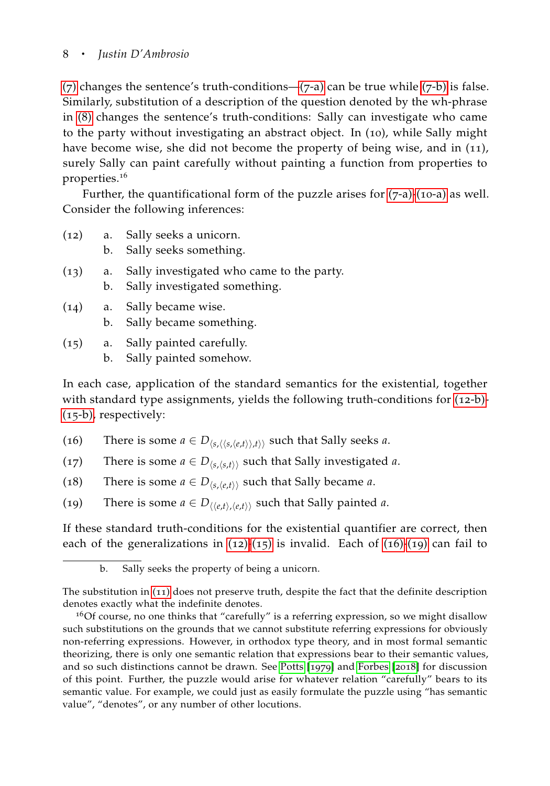#### <sup>8</sup> · *Justin D'Ambrosio*

(7[\)](#page-6-1) changes the sentence's truth-conditions—( $7$ [-a\)](#page-6-2) can be true while ( $7$ [-b\)](#page-6-3) is false. Similarly, substitution of a description of the question denoted by the wh-phrase in [\(](#page-6-4)8) changes the sentence's truth-conditions: Sally can investigate who came to the party without investigating an abstract object. In (10), while Sally might have become wise, she did not become the property of being wise, and in (11), surely Sally can paint carefully without painting a function from properties to properties.<sup>16</sup>

<span id="page-7-2"></span>Further, the quantificational form of the puzzle arises for  $(7-a)-(10-a)$  $(7-a)-(10-a)$  $(7-a)-(10-a)$  $(7-a)-(10-a)$  as well. Consider the following inferences:

<span id="page-7-6"></span><span id="page-7-0"></span>

| (12) | a. Sally seeks a unicorn.                                                        |
|------|----------------------------------------------------------------------------------|
|      | b. Sally seeks something.                                                        |
| (13) | a. Sally investigated who came to the party.<br>b. Sally investigated something. |
| (14) | a. Sally became wise.<br>b. Sally became something.                              |

<span id="page-7-7"></span><span id="page-7-3"></span><span id="page-7-1"></span>(15) a. Sally painted carefully. b. Sally painted somehow.

<span id="page-7-4"></span>In each case, application of the standard semantics for the existential, together with standard type assignments, yields the following truth-conditions for (12[-b\)-](#page-7-0) (15[-b\),](#page-7-1) respectively:

- (16) There is some  $a \in D_{\langle s, \langle \langle s, \langle e, t \rangle \rangle, t \rangle}$  such that Sally seeks *a*.
- (17) There is some  $a \in D_{\langle s, \langle s, t \rangle}$  such that Sally investigated *a*.
- <span id="page-7-5"></span>(18) There is some  $a \in D_{\langle s, \langle e, t \rangle}$  such that Sally became *a*.
- (19) There is some  $a \in D_{\langle e,t \rangle, \langle e,t \rangle}$  such that Sally painted *a*.

If these standard truth-conditions for the existential quantifier are correct, then each of the generalizations in  $(12)-(15)$  $(12)-(15)$  $(12)-(15)$  $(12)-(15)$  $(12)-(15)$  is invalid. Each of  $(16)-(19)$  $(16)-(19)$  $(16)-(19)$  $(16)-(19)$  $(16)-(19)$  can fail to

b. Sally seeks the property of being a unicorn.

The substitution in ([11](#page-6-6)) does not preserve truth, despite the fact that the definite description denotes exactly what the indefinite denotes.

 $16$ Of course, no one thinks that "carefully" is a referring expression, so we might disallow such substitutions on the grounds that we cannot substitute referring expressions for obviously non-referring expressions. However, in orthodox type theory, and in most formal semantic theorizing, there is only one semantic relation that expressions bear to their semantic values, and so such distinctions cannot be drawn. See [Potts](#page-30-12) [[1979](#page-30-12)] and [Forbes](#page-29-7) [[2018](#page-29-7)] for discussion of this point. Further, the puzzle would arise for whatever relation "carefully" bears to its semantic value. For example, we could just as easily formulate the puzzle using "has semantic value", "denotes", or any number of other locutions.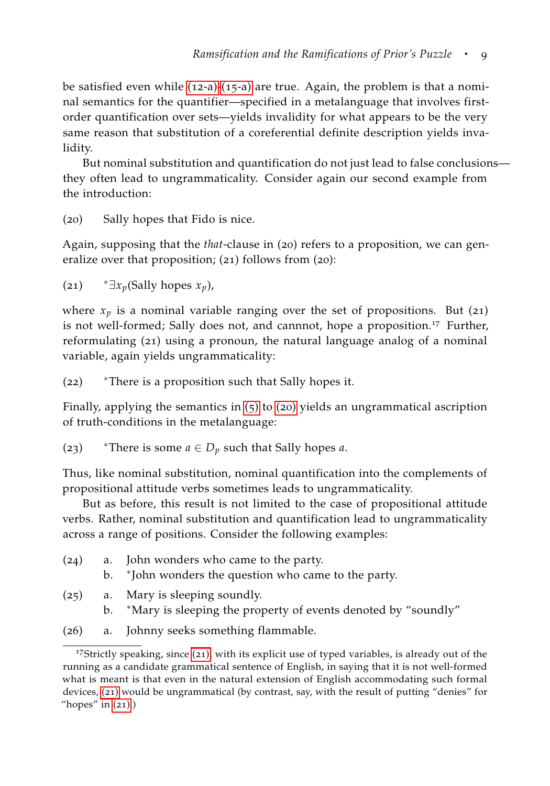be satisfied even while  $(12-a)-(15-a)$  $(12-a)-(15-a)$  $(12-a)-(15-a)$  $(12-a)-(15-a)$  are true. Again, the problem is that a nominal semantics for the quantifier—specified in a metalanguage that involves firstorder quantification over sets—yields invalidity for what appears to be the very same reason that substitution of a coreferential definite description yields invalidity.

<span id="page-8-0"></span>But nominal substitution and quantification do not just lead to false conclusions they often lead to ungrammaticality. Consider again our second example from the introduction:

(20) Sally hopes that Fido is nice.

<span id="page-8-1"></span>Again, supposing that the *that*-clause in (20) refers to a proposition, we can generalize over that proposition; (21) follows from (20):

 $(21)$ <sup>∗</sup>∃*xp*(Sally hopes *xp*),

where  $x_p$  is a nominal variable ranging over the set of propositions. But (21) is not well-formed; Sally does not, and cannnot, hope a proposition.<sup>17</sup> Further, reformulating (21) using a pronoun, the natural language analog of a nominal variable, again yields ungrammaticality:

 $(22)$ <sup>∗</sup>There is a proposition such that Sally hopes it.

<span id="page-8-4"></span>Finally, applying the semantics in [\(](#page-5-3)5) to ([20](#page-8-0)) yields an ungrammatical ascription of truth-conditions in the metalanguage:

 $(23)$ <sup>∗</sup>There is some *a* ∈ *D<sup>p</sup>* such that Sally hopes *a*.

Thus, like nominal substitution, nominal quantification into the complements of propositional attitude verbs sometimes leads to ungrammaticality.

<span id="page-8-2"></span>But as before, this result is not limited to the case of propositional attitude verbs. Rather, nominal substitution and quantification lead to ungrammaticality across a range of positions. Consider the following examples:

- (24) a. John wonders who came to the party.
	- b. \*John wonders the question who came to the party.
- (25) a. Mary is sleeping soundly.
	- b. <sup>∗</sup>Mary is sleeping the property of events denoted by "soundly"
- <span id="page-8-3"></span>(26) a. Johnny seeks something flammable.

<sup>&</sup>lt;sup>17</sup>Strictly speaking, since ([21](#page-8-1)), with its explicit use of typed variables, is already out of the running as a candidate grammatical sentence of English, in saying that it is not well-formed what is meant is that even in the natural extension of English accommodating such formal devices, ([21](#page-8-1)) would be ungrammatical (by contrast, say, with the result of putting "denies" for "hopes" in  $(21)$  $(21)$  $(21)$ .)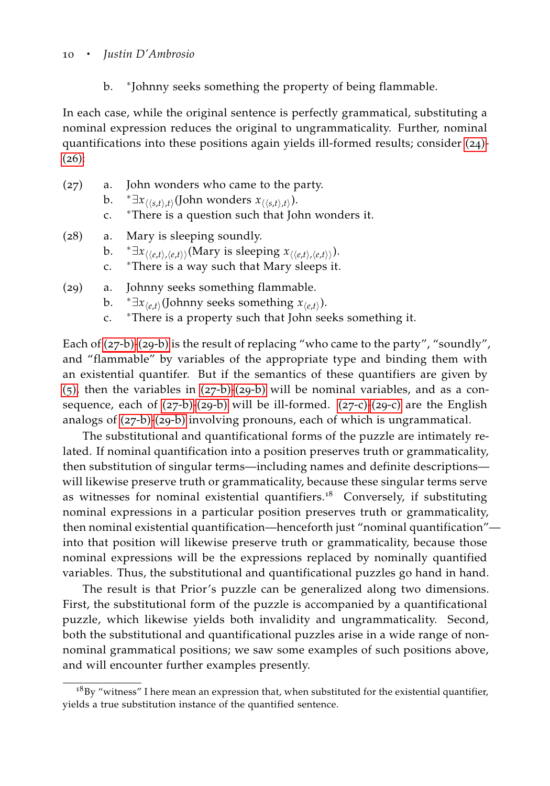#### <sup>10</sup> · *Justin D'Ambrosio*

b. <sup>∗</sup> Johnny seeks something the property of being flammable.

In each case, while the original sentence is perfectly grammatical, substituting a nominal expression reduces the original to ungrammaticality. Further, nominal quantifications into these positions again yields ill-formed results; consider ([24](#page-8-2))- ([26](#page-8-3)):

<span id="page-9-0"></span>

| (27)  | a. John wonders who came to the party.                                                    |
|-------|-------------------------------------------------------------------------------------------|
|       | b. $* \exists x_{(\langle s,t \rangle,t)}$ (John wonders $x_{(\langle s,t \rangle,t)}$ ). |
|       | c. *There is a question such that John wonders it.                                        |
| (0,0) | a Mary is sleeping soundly                                                                |

- <span id="page-9-4"></span><span id="page-9-2"></span>(28) a. Mary is sleeping soundly. b.  $* \exists x_{\langle \langle e,t \rangle, \langle e,t \rangle \rangle}(\text{Mary is sleeping } x_{\langle \langle e,t \rangle, \langle e,t \rangle \rangle}).$ c. \*There is a way such that Mary sleeps it.
- <span id="page-9-1"></span>(29) a. Johnny seeks something flammable. b.  $* \exists x_{\langle e,t \rangle}$ (Johnny seeks something  $x_{\langle e,t \rangle}$ ). c. <sup>∗</sup>There is a property such that John seeks something it.

<span id="page-9-3"></span>Each of (27[-b\)-](#page-9-0)(29[-b\)](#page-9-1) is the result of replacing "who came to the party", "soundly", and "flammable" by variables of the appropriate type and binding them with an existential quantifer. But if the semantics of these quantifiers are given by (5[\),](#page-5-3) then the variables in (27[-b\)-](#page-9-0)(29[-b\)](#page-9-1) will be nominal variables, and as a consequence, each of  $(27-b)-(29-b)$  $(27-b)-(29-b)$  $(27-b)-(29-b)$  $(27-b)-(29-b)$  will be ill-formed.  $(27-c)-(29-c)$  $(27-c)-(29-c)$  $(27-c)-(29-c)$  $(27-c)-(29-c)$  are the English analogs of (27[-b\)-](#page-9-0)(29[-b\)](#page-9-1) involving pronouns, each of which is ungrammatical.

The substitutional and quantificational forms of the puzzle are intimately related. If nominal quantification into a position preserves truth or grammaticality, then substitution of singular terms—including names and definite descriptions will likewise preserve truth or grammaticality, because these singular terms serve as witnesses for nominal existential quantifiers.<sup>18</sup> Conversely, if substituting nominal expressions in a particular position preserves truth or grammaticality, then nominal existential quantification—henceforth just "nominal quantification" into that position will likewise preserve truth or grammaticality, because those nominal expressions will be the expressions replaced by nominally quantified variables. Thus, the substitutional and quantificational puzzles go hand in hand.

The result is that Prior's puzzle can be generalized along two dimensions. First, the substitutional form of the puzzle is accompanied by a quantificational puzzle, which likewise yields both invalidity and ungrammaticality. Second, both the substitutional and quantificational puzzles arise in a wide range of nonnominal grammatical positions; we saw some examples of such positions above, and will encounter further examples presently.

 $^{18}{\rm By}$  "witness" I here mean an expression that, when substituted for the existential quantifier, yields a true substitution instance of the quantified sentence.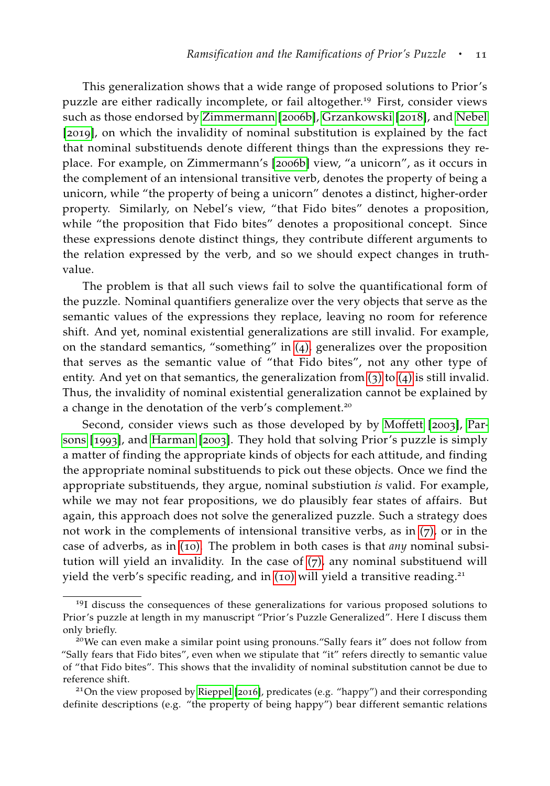This generalization shows that a wide range of proposed solutions to Prior's puzzle are either radically incomplete, or fail altogether.<sup>19</sup> First, consider views such as those endorsed by [Zimmermann](#page-31-8) [[2006](#page-31-8)b], [Grzankowski](#page-29-8) [[2018](#page-29-8)], and [Nebel](#page-30-7) [[2019](#page-30-7)], on which the invalidity of nominal substitution is explained by the fact that nominal substituends denote different things than the expressions they replace. For example, on Zimmermann's [[2006](#page-31-8)b] view, "a unicorn", as it occurs in the complement of an intensional transitive verb, denotes the property of being a unicorn, while "the property of being a unicorn" denotes a distinct, higher-order property. Similarly, on Nebel's view, "that Fido bites" denotes a proposition, while "the proposition that Fido bites" denotes a propositional concept. Since these expressions denote distinct things, they contribute different arguments to the relation expressed by the verb, and so we should expect changes in truthvalue.

The problem is that all such views fail to solve the quantificational form of the puzzle. Nominal quantifiers generalize over the very objects that serve as the semantic values of the expressions they replace, leaving no room for reference shift. And yet, nominal existential generalizations are still invalid. For example, on the standard semantics, "something" in [\(](#page-5-0)4), generalizes over the proposition that serves as the semantic value of "that Fido bites", not any other type of entity. And yet on that semantics, the generalization from  $(3)$  $(3)$  to  $(4)$  is still invalid. Thus, the invalidity of nominal existential generalization cannot be explained by a change in the denotation of the verb's complement.<sup>20</sup>

Second, consider views such as those developed by by [Moffett](#page-30-13) [[2003](#page-30-13)], [Par](#page-30-14)[sons](#page-30-14) [[1993](#page-30-14)], and [Harman](#page-30-15) [[2003](#page-30-15)]. They hold that solving Prior's puzzle is simply a matter of finding the appropriate kinds of objects for each attitude, and finding the appropriate nominal substituends to pick out these objects. Once we find the appropriate substituends, they argue, nominal substiution *is* valid. For example, while we may not fear propositions, we do plausibly fear states of affairs. But again, this approach does not solve the generalized puzzle. Such a strategy does not work in the complements of intensional transitive verbs, as in  $(7)$ , or in the case of adverbs, as in ([10](#page-6-7)). The problem in both cases is that *any* nominal subsitution will yield an invalidity. In the case of (7[\),](#page-6-1) any nominal substituend will yield the verb's specific reading, and in ([10](#page-6-7)) will yield a transitive reading.<sup>21</sup>

<sup>&</sup>lt;sup>19</sup>I discuss the consequences of these generalizations for various proposed solutions to Prior's puzzle at length in my manuscript "Prior's Puzzle Generalized". Here I discuss them only briefly.

<sup>&</sup>lt;sup>20</sup>We can even make a similar point using pronouns."Sally fears it" does not follow from "Sally fears that Fido bites", even when we stipulate that "it" refers directly to semantic value of "that Fido bites". This shows that the invalidity of nominal substitution cannot be due to reference shift.

<sup>&</sup>lt;sup>21</sup>On the view proposed by [Rieppel](#page-31-6) [[2016](#page-31-6)], predicates (e.g. "happy") and their corresponding definite descriptions (e.g. "the property of being happy") bear different semantic relations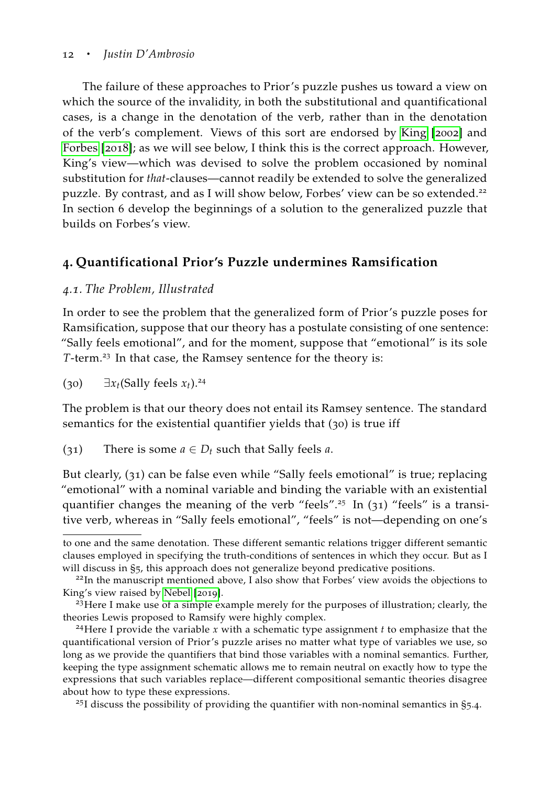#### <sup>12</sup> · *Justin D'Ambrosio*

The failure of these approaches to Prior's puzzle pushes us toward a view on which the source of the invalidity, in both the substitutional and quantificational cases, is a change in the denotation of the verb, rather than in the denotation of the verb's complement. Views of this sort are endorsed by [King](#page-30-9) [[2002](#page-30-9)] and [Forbes](#page-29-7) [[2018](#page-29-7)]; as we will see below, I think this is the correct approach. However, King's view—which was devised to solve the problem occasioned by nominal substitution for *that*-clauses—cannot readily be extended to solve the generalized puzzle. By contrast, and as I will show below, Forbes' view can be so extended.<sup>22</sup> In section 6 develop the beginnings of a solution to the generalized puzzle that builds on Forbes's view.

## **4. Quantificational Prior's Puzzle undermines Ramsification**

#### *4.1. The Problem, Illustrated*

In order to see the problem that the generalized form of Prior's puzzle poses for Ramsification, suppose that our theory has a postulate consisting of one sentence: "Sally feels emotional", and for the moment, suppose that "emotional" is its sole *T*-term.<sup>23</sup> In that case, the Ramsey sentence for the theory is:

(30)  $\exists x_t$ (Sally feels  $x_t$ ).<sup>24</sup>

The problem is that our theory does not entail its Ramsey sentence. The standard semantics for the existential quantifier yields that (30) is true iff

(31) There is some  $a \in D_t$  such that Sally feels *a*.

But clearly, (31) can be false even while "Sally feels emotional" is true; replacing "emotional" with a nominal variable and binding the variable with an existential quantifier changes the meaning of the verb "feels".<sup>25</sup> In (31) "feels" is a transitive verb, whereas in "Sally feels emotional", "feels" is not—depending on one's

<sup>25</sup>I discuss the possibility of providing the quantifier with non-nominal semantics in §5.4.

to one and the same denotation. These different semantic relations trigger different semantic clauses employed in specifying the truth-conditions of sentences in which they occur. But as I will discuss in §5, this approach does not generalize beyond predicative positions.

 $22$ In the manuscript mentioned above, I also show that Forbes' view avoids the objections to King's view raised by [Nebel](#page-30-7) [[2019](#page-30-7)].

<sup>23</sup>Here I make use of a simple example merely for the purposes of illustration; clearly, the theories Lewis proposed to Ramsify were highly complex.

<sup>24</sup>Here I provide the variable *x* with a schematic type assignment *t* to emphasize that the quantificational version of Prior's puzzle arises no matter what type of variables we use, so long as we provide the quantifiers that bind those variables with a nominal semantics. Further, keeping the type assignment schematic allows me to remain neutral on exactly how to type the expressions that such variables replace—different compositional semantic theories disagree about how to type these expressions.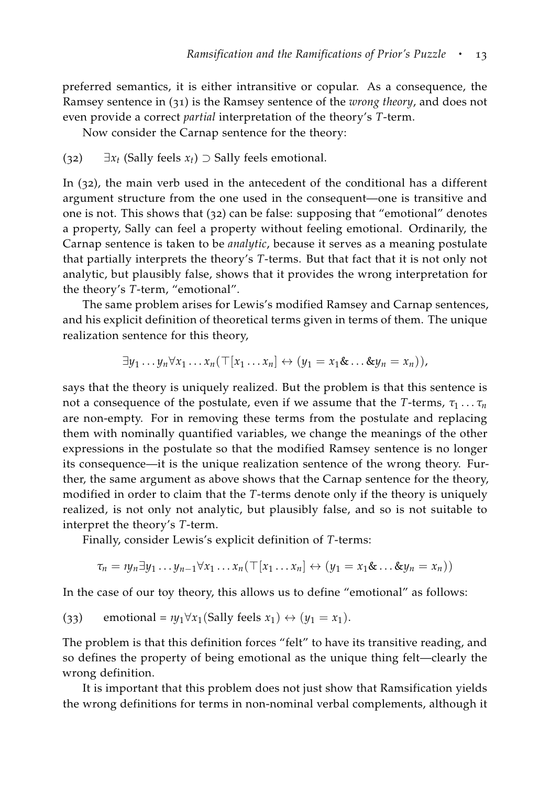preferred semantics, it is either intransitive or copular. As a consequence, the Ramsey sentence in (31) is the Ramsey sentence of the *wrong theory*, and does not even provide a correct *partial* interpretation of the theory's *T*-term.

Now consider the Carnap sentence for the theory:

(32) ∃*x<sup>t</sup>* (Sally feels *xt*) ⊃ Sally feels emotional.

In (32), the main verb used in the antecedent of the conditional has a different argument structure from the one used in the consequent—one is transitive and one is not. This shows that (32) can be false: supposing that "emotional" denotes a property, Sally can feel a property without feeling emotional. Ordinarily, the Carnap sentence is taken to be *analytic*, because it serves as a meaning postulate that partially interprets the theory's *T*-terms. But that fact that it is not only not analytic, but plausibly false, shows that it provides the wrong interpretation for the theory's *T*-term, "emotional".

The same problem arises for Lewis's modified Ramsey and Carnap sentences, and his explicit definition of theoretical terms given in terms of them. The unique realization sentence for this theory,

$$
\exists y_1 \ldots y_n \forall x_1 \ldots x_n (\top [x_1 \ldots x_n] \leftrightarrow (y_1 = x_1 \& \ldots \& y_n = x_n)),
$$

says that the theory is uniquely realized. But the problem is that this sentence is not a consequence of the postulate, even if we assume that the *T*-terms,  $\tau_1 \ldots \tau_n$ are non-empty. For in removing these terms from the postulate and replacing them with nominally quantified variables, we change the meanings of the other expressions in the postulate so that the modified Ramsey sentence is no longer its consequence—it is the unique realization sentence of the wrong theory. Further, the same argument as above shows that the Carnap sentence for the theory, modified in order to claim that the *T*-terms denote only if the theory is uniquely realized, is not only not analytic, but plausibly false, and so is not suitable to interpret the theory's *T*-term.

Finally, consider Lewis's explicit definition of *T*-terms:

$$
\tau_n = \eta_n \exists y_1 \ldots y_{n-1} \forall x_1 \ldots x_n (\top [x_1 \ldots x_n] \leftrightarrow (y_1 = x_1 \& \ldots \& y_n = x_n))
$$

In the case of our toy theory, this allows us to define "emotional" as follows:

(33) **emotional** = 
$$
ry_1 \forall x_1
$$
 (Sally feels  $x_1$ )  $\leftrightarrow$  ( $y_1 = x_1$ ).

The problem is that this definition forces "felt" to have its transitive reading, and so defines the property of being emotional as the unique thing felt—clearly the wrong definition.

It is important that this problem does not just show that Ramsification yields the wrong definitions for terms in non-nominal verbal complements, although it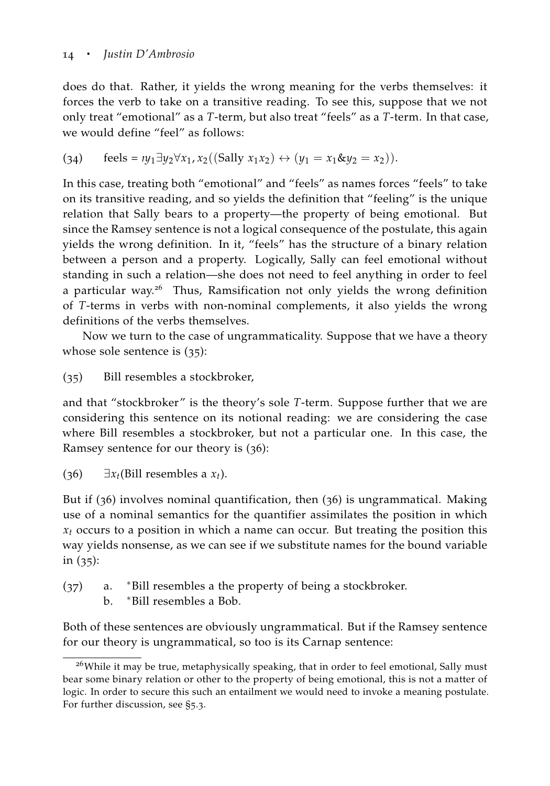does do that. Rather, it yields the wrong meaning for the verbs themselves: it forces the verb to take on a transitive reading. To see this, suppose that we not only treat "emotional" as a *T*-term, but also treat "feels" as a *T*-term. In that case, we would define "feel" as follows:

(34) feels = 
$$
ny_1 \exists y_2 \forall x_1, x_2((Sally x_1 x_2) \leftrightarrow (y_1 = x_1 \& y_2 = x_2)).
$$

In this case, treating both "emotional" and "feels" as names forces "feels" to take on its transitive reading, and so yields the definition that "feeling" is the unique relation that Sally bears to a property—the property of being emotional. But since the Ramsey sentence is not a logical consequence of the postulate, this again yields the wrong definition. In it, "feels" has the structure of a binary relation between a person and a property. Logically, Sally can feel emotional without standing in such a relation—she does not need to feel anything in order to feel a particular way.<sup>26</sup> Thus, Ramsification not only yields the wrong definition of *T*-terms in verbs with non-nominal complements, it also yields the wrong definitions of the verbs themselves.

<span id="page-13-1"></span>Now we turn to the case of ungrammaticality. Suppose that we have a theory whose sole sentence is  $(35)$ :

(35) Bill resembles a stockbroker,

and that "stockbroker" is the theory's sole *T*-term. Suppose further that we are considering this sentence on its notional reading: we are considering the case where Bill resembles a stockbroker, but not a particular one. In this case, the Ramsey sentence for our theory is (36):

<span id="page-13-0"></span>(36)  $\exists x_t$ (Bill resembles a  $x_t$ ).

But if (36) involves nominal quantification, then (36) is ungrammatical. Making use of a nominal semantics for the quantifier assimilates the position in which  $x_t$  occurs to a position in which a name can occur. But treating the position this way yields nonsense, as we can see if we substitute names for the bound variable in (35):

- (37) a. <sup>∗</sup>Bill resembles a the property of being a stockbroker.
	- b. <sup>∗</sup>Bill resembles a Bob.

Both of these sentences are obviously ungrammatical. But if the Ramsey sentence for our theory is ungrammatical, so too is its Carnap sentence:

 $26$ While it may be true, metaphysically speaking, that in order to feel emotional, Sally must bear some binary relation or other to the property of being emotional, this is not a matter of logic. In order to secure this such an entailment we would need to invoke a meaning postulate. For further discussion, see §5.3.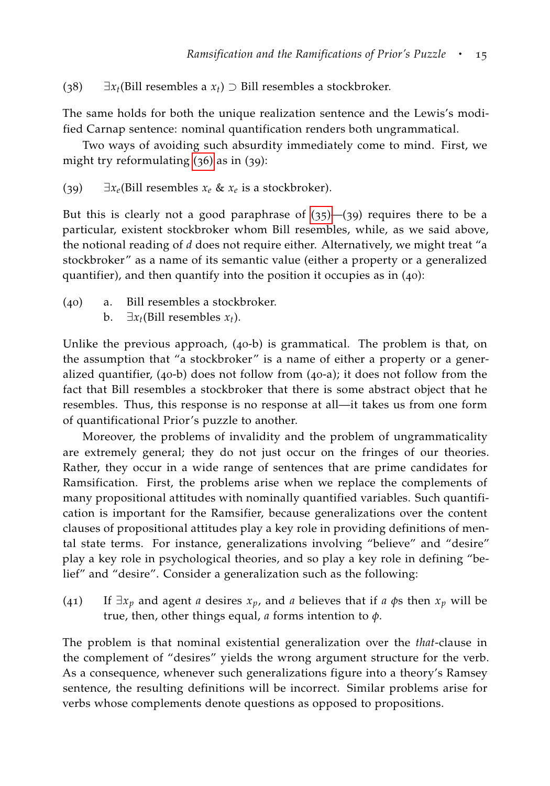(38) ∃*xt*(Bill resembles a *xt*) ⊃ Bill resembles a stockbroker.

The same holds for both the unique realization sentence and the Lewis's modified Carnap sentence: nominal quantification renders both ungrammatical.

Two ways of avoiding such absurdity immediately come to mind. First, we might try reformulating ([36](#page-13-0)) as in (39):

(39)  $\exists x_e$ (Bill resembles  $x_e$  &  $x_e$  is a stockbroker).

But this is clearly not a good paraphrase of  $(35)$  $(35)$  $(35)$ — $(39)$  requires there to be a particular, existent stockbroker whom Bill resembles, while, as we said above, the notional reading of *d* does not require either. Alternatively, we might treat "a stockbroker" as a name of its semantic value (either a property or a generalized quantifier), and then quantify into the position it occupies as in (40):

(40) a. Bill resembles a stockbroker. **b.** ∃ $x_t$ (Bill resembles  $x_t$ ).

Unlike the previous approach, (40-b) is grammatical. The problem is that, on the assumption that "a stockbroker" is a name of either a property or a generalized quantifier, (40-b) does not follow from (40-a); it does not follow from the fact that Bill resembles a stockbroker that there is some abstract object that he resembles. Thus, this response is no response at all—it takes us from one form of quantificational Prior's puzzle to another.

Moreover, the problems of invalidity and the problem of ungrammaticality are extremely general; they do not just occur on the fringes of our theories. Rather, they occur in a wide range of sentences that are prime candidates for Ramsification. First, the problems arise when we replace the complements of many propositional attitudes with nominally quantified variables. Such quantification is important for the Ramsifier, because generalizations over the content clauses of propositional attitudes play a key role in providing definitions of mental state terms. For instance, generalizations involving "believe" and "desire" play a key role in psychological theories, and so play a key role in defining "belief" and "desire". Consider a generalization such as the following:

(41) If  $\exists x_p$  and agent *a* desires  $x_p$ , and *a* believes that if *a*  $\phi$ s then  $x_p$  will be true, then, other things equal, *a* forms intention to *φ*.

The problem is that nominal existential generalization over the *that*-clause in the complement of "desires" yields the wrong argument structure for the verb. As a consequence, whenever such generalizations figure into a theory's Ramsey sentence, the resulting definitions will be incorrect. Similar problems arise for verbs whose complements denote questions as opposed to propositions.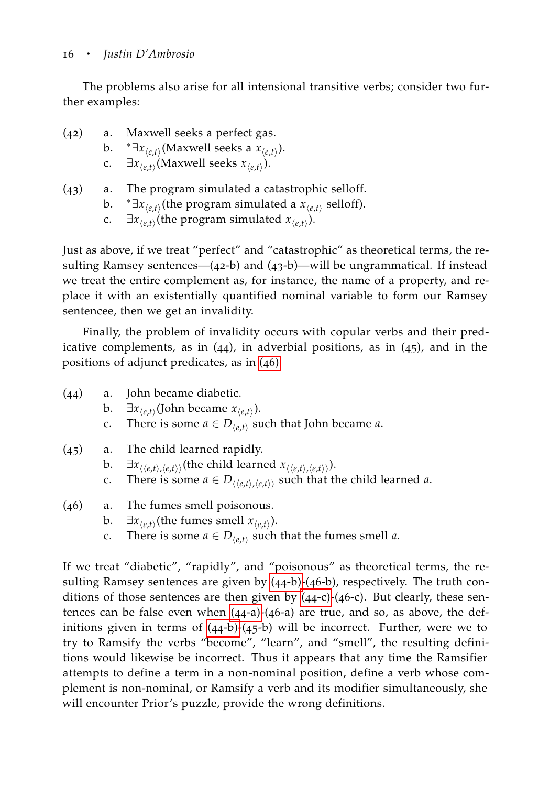The problems also arise for all intensional transitive verbs; consider two further examples:

- (42) a. Maxwell seeks a perfect gas. b.  $* \exists x_{\langle e,t \rangle}$  (Maxwell seeks a  $x_{\langle e,t \rangle}$ ). c.  $\exists x_{\langle e,t \rangle}$  (Maxwell seeks  $x_{\langle e,t \rangle}$ ).
- (43) a. The program simulated a catastrophic selloff. b.  $* \exists x_{\langle e,t \rangle}$ (the program simulated a  $x_{\langle e,t \rangle}$  selloff). c.  $\exists x_{\langle e,t \rangle}$  (the program simulated  $x_{\langle e,t \rangle}$ ).

Just as above, if we treat "perfect" and "catastrophic" as theoretical terms, the resulting Ramsey sentences—(42-b) and (43-b)—will be ungrammatical. If instead we treat the entire complement as, for instance, the name of a property, and replace it with an existentially quantified nominal variable to form our Ramsey sentencee, then we get an invalidity.

Finally, the problem of invalidity occurs with copular verbs and their predicative complements, as in (44), in adverbial positions, as in (45), and in the positions of adjunct predicates, as in ([46](#page-15-0)).

<span id="page-15-3"></span><span id="page-15-2"></span><span id="page-15-1"></span>(44) a. John became diabetic. b.  $\exists x_{\langle e,t\rangle}$ (John became  $x_{\langle e,t\rangle}$ ). c. There is some  $a \in D_{\langle e,t \rangle}$  such that John became *a*. (45) a. The child learned rapidly. b.  $\exists x_{\langle\langle e,t\rangle,\langle e,t\rangle\rangle}$ (the child learned  $x_{\langle\langle e,t\rangle,\langle e,t\rangle\rangle}$ ). c. There is some  $a \in D_{\langle e, t \rangle, \langle e, t \rangle}$  such that the child learned *a*. (46) a. The fumes smell poisonous. b.  $\exists x_{\langle e,t\rangle}$ (the fumes smell  $x_{\langle e,t\rangle}$ ). c. There is some  $a \in D_{\langle e,t \rangle}$  such that the fumes smell *a*.

<span id="page-15-0"></span>If we treat "diabetic", "rapidly", and "poisonous" as theoretical terms, the resulting Ramsey sentences are given by (44[-b\)-](#page-15-1)(46-b), respectively. The truth conditions of those sentences are then given by  $(44-c)-(46-c)$  $(44-c)-(46-c)$  $(44-c)-(46-c)$ . But clearly, these sentences can be false even when  $(44-a)-(46-a)$  $(44-a)-(46-a)$  $(44-a)-(46-a)$  are true, and so, as above, the definitions given in terms of (44[-b\)-](#page-15-1)(45-b) will be incorrect. Further, were we to try to Ramsify the verbs "become", "learn", and "smell", the resulting definitions would likewise be incorrect. Thus it appears that any time the Ramsifier attempts to define a term in a non-nominal position, define a verb whose complement is non-nominal, or Ramsify a verb and its modifier simultaneously, she will encounter Prior's puzzle, provide the wrong definitions.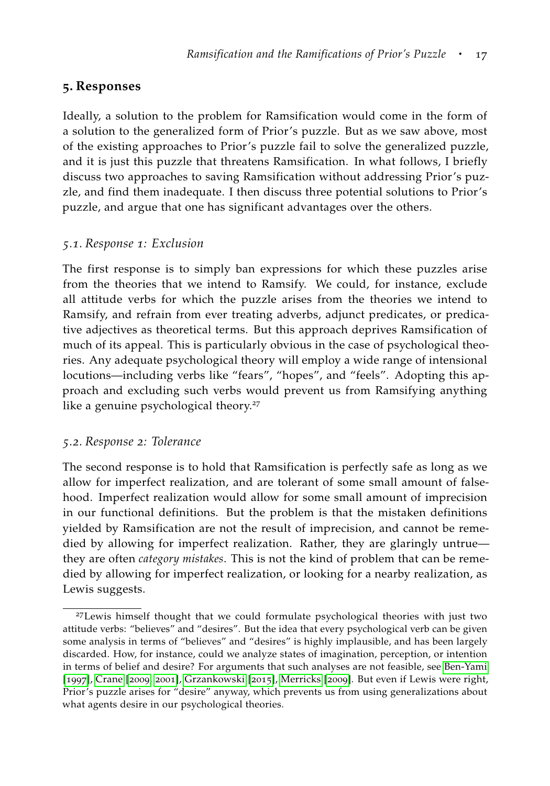### **5. Responses**

Ideally, a solution to the problem for Ramsification would come in the form of a solution to the generalized form of Prior's puzzle. But as we saw above, most of the existing approaches to Prior's puzzle fail to solve the generalized puzzle, and it is just this puzzle that threatens Ramsification. In what follows, I briefly discuss two approaches to saving Ramsification without addressing Prior's puzzle, and find them inadequate. I then discuss three potential solutions to Prior's puzzle, and argue that one has significant advantages over the others.

#### *5.1. Response 1: Exclusion*

The first response is to simply ban expressions for which these puzzles arise from the theories that we intend to Ramsify. We could, for instance, exclude all attitude verbs for which the puzzle arises from the theories we intend to Ramsify, and refrain from ever treating adverbs, adjunct predicates, or predicative adjectives as theoretical terms. But this approach deprives Ramsification of much of its appeal. This is particularly obvious in the case of psychological theories. Any adequate psychological theory will employ a wide range of intensional locutions—including verbs like "fears", "hopes", and "feels". Adopting this approach and excluding such verbs would prevent us from Ramsifying anything like a genuine psychological theory. $27$ 

#### *5.2. Response 2: Tolerance*

The second response is to hold that Ramsification is perfectly safe as long as we allow for imperfect realization, and are tolerant of some small amount of falsehood. Imperfect realization would allow for some small amount of imprecision in our functional definitions. But the problem is that the mistaken definitions yielded by Ramsification are not the result of imprecision, and cannot be remedied by allowing for imperfect realization. Rather, they are glaringly untrue they are often *category mistakes*. This is not the kind of problem that can be remedied by allowing for imperfect realization, or looking for a nearby realization, as Lewis suggests.

<sup>27</sup>Lewis himself thought that we could formulate psychological theories with just two attitude verbs: "believes" and "desires". But the idea that every psychological verb can be given some analysis in terms of "believes" and "desires" is highly implausible, and has been largely discarded. How, for instance, could we analyze states of imagination, perception, or intention in terms of belief and desire? For arguments that such analyses are not feasible, see [Ben-Yami](#page-29-9) [[1997](#page-29-9)], [Crane](#page-29-10) [[2009](#page-29-10), [2001](#page-29-11)], [Grzankowski](#page-29-12) [[2015](#page-29-12)], [Merricks](#page-30-16) [[2009](#page-30-16)]. But even if Lewis were right, Prior's puzzle arises for "desire" anyway, which prevents us from using generalizations about what agents desire in our psychological theories.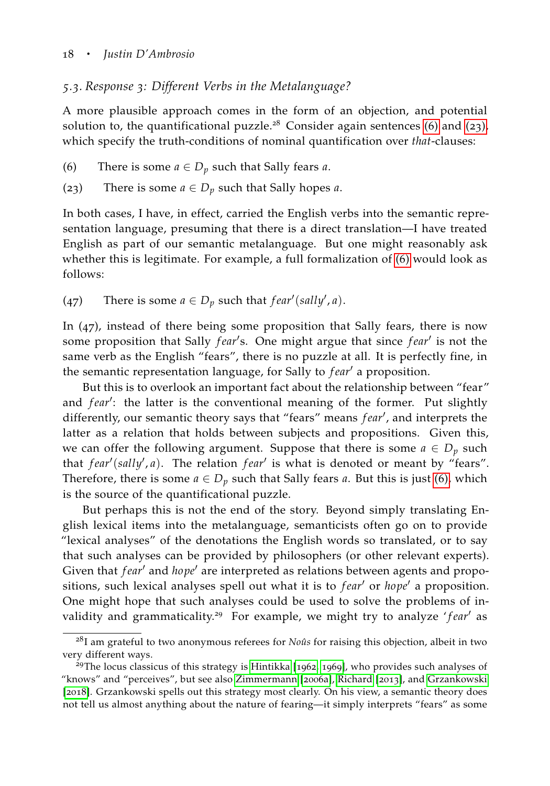### *5.3. Response 3: Different Verbs in the Metalanguage?*

A more plausible approach comes in the form of an objection, and potential solution to, the quantificational puzzle.<sup>28</sup> Consider again sentences (6[\)](#page-5-1) and ([23](#page-8-4)), which specify the truth-conditions of nominal quantification over *that*-clauses:

- (6) There is some  $a \in D_p$  such that Sally fears *a*.
- (23) There is some  $a \in D_p$  such that Sally hopes *a*.

In both cases, I have, in effect, carried the English verbs into the semantic representation language, presuming that there is a direct translation—I have treated English as part of our semantic metalanguage. But one might reasonably ask whether this is legitimate. For example, a full formalization of [\(](#page-5-1)6) would look as follows:

(47) There is some  $a \in D_p$  such that  $fear'(sally', a)$ .

In (47), instead of there being some proposition that Sally fears, there is now some proposition that Sally *fear's*. One might argue that since *fear'* is not the same verb as the English "fears", there is no puzzle at all. It is perfectly fine, in the semantic representation language, for Sally to *fear'* a proposition.

But this is to overlook an important fact about the relationship between "fear" and *fear'*: the latter is the conventional meaning of the former. Put slightly differently, our semantic theory says that "fears" means *fear'*, and interprets the latter as a relation that holds between subjects and propositions. Given this, we can offer the following argument. Suppose that there is some  $a \in D_p$  such that *fear'*(sally', a). The relation *fear'* is what is denoted or meant by "fears". Therefore, there is some  $a \in D_p$  such that Sally fears *a*. But this is just (6[\),](#page-5-1) which is the source of the quantificational puzzle.

But perhaps this is not the end of the story. Beyond simply translating English lexical items into the metalanguage, semanticists often go on to provide "lexical analyses" of the denotations the English words so translated, or to say that such analyses can be provided by philosophers (or other relevant experts). Given that *fear'* and *hope'* are interpreted as relations between agents and propositions, such lexical analyses spell out what it is to *fear'* or *hope'* a proposition. One might hope that such analyses could be used to solve the problems of invalidity and grammaticality.<sup>29</sup> For example, we might try to analyze 'fear' as

<sup>28</sup>I am grateful to two anonymous referees for *Noûs* for raising this objection, albeit in two very different ways.

<sup>&</sup>lt;sup>29</sup>The locus classicus of this strategy is [Hintikka](#page-30-17)  $[1962, 1969]$  $[1962, 1969]$  $[1962, 1969]$  $[1962, 1969]$  $[1962, 1969]$ , who provides such analyses of "knows" and "perceives", but see also [Zimmermann](#page-31-3) [[2006](#page-31-3)a], [Richard](#page-31-9) [[2013](#page-31-9)], and [Grzankowski](#page-29-8) [[2018](#page-29-8)]. Grzankowski spells out this strategy most clearly. On his view, a semantic theory does not tell us almost anything about the nature of fearing—it simply interprets "fears" as some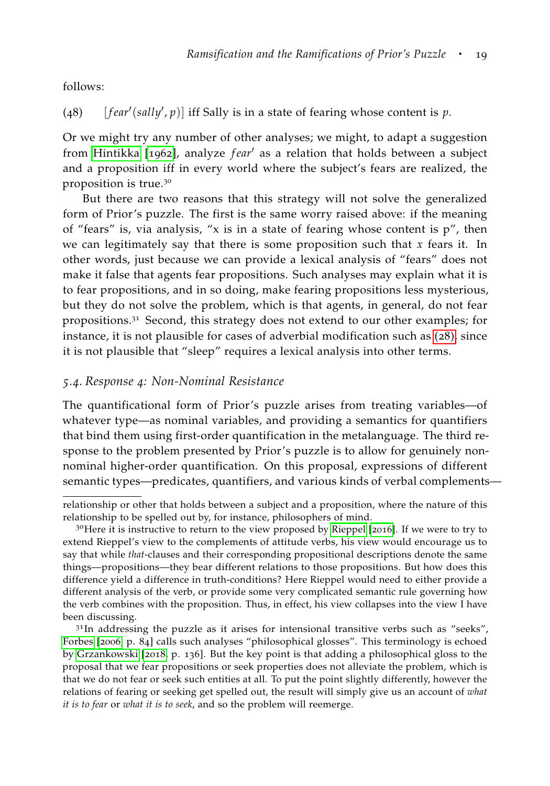follows:

 $(fear'(sally', p)]$  iff Sally is in a state of fearing whose content is  $p$ .

Or we might try any number of other analyses; we might, to adapt a suggestion from [Hintikka](#page-30-17) [[1962](#page-30-17)], analyze *fear'* as a relation that holds between a subject and a proposition iff in every world where the subject's fears are realized, the proposition is true.<sup>30</sup>

But there are two reasons that this strategy will not solve the generalized form of Prior's puzzle. The first is the same worry raised above: if the meaning of "fears" is, via analysis, "x is in a state of fearing whose content is p", then we can legitimately say that there is some proposition such that *x* fears it. In other words, just because we can provide a lexical analysis of "fears" does not make it false that agents fear propositions. Such analyses may explain what it is to fear propositions, and in so doing, make fearing propositions less mysterious, but they do not solve the problem, which is that agents, in general, do not fear propositions.<sup>31</sup> Second, this strategy does not extend to our other examples; for instance, it is not plausible for cases of adverbial modification such as ([28](#page-9-4)), since it is not plausible that "sleep" requires a lexical analysis into other terms.

#### *5.4. Response 4: Non-Nominal Resistance*

The quantificational form of Prior's puzzle arises from treating variables—of whatever type—as nominal variables, and providing a semantics for quantifiers that bind them using first-order quantification in the metalanguage. The third response to the problem presented by Prior's puzzle is to allow for genuinely nonnominal higher-order quantification. On this proposal, expressions of different semantic types—predicates, quantifiers, and various kinds of verbal complements—

relationship or other that holds between a subject and a proposition, where the nature of this relationship to be spelled out by, for instance, philosophers of mind.

 $30$ Here it is instructive to return to the view proposed by [Rieppel](#page-31-6) [[2016](#page-31-6)]. If we were to try to extend Rieppel's view to the complements of attitude verbs, his view would encourage us to say that while *that*-clauses and their corresponding propositional descriptions denote the same things—propositions—they bear different relations to those propositions. But how does this difference yield a difference in truth-conditions? Here Rieppel would need to either provide a different analysis of the verb, or provide some very complicated semantic rule governing how the verb combines with the proposition. Thus, in effect, his view collapses into the view I have been discussing.

 $31$ In addressing the puzzle as it arises for intensional transitive verbs such as "seeks", [Forbes](#page-29-13) [[2006](#page-29-13), p. 84] calls such analyses "philosophical glosses". This terminology is echoed by [Grzankowski](#page-29-8) [[2018](#page-29-8), p. 136]. But the key point is that adding a philosophical gloss to the proposal that we fear propositions or seek properties does not alleviate the problem, which is that we do not fear or seek such entities at all. To put the point slightly differently, however the relations of fearing or seeking get spelled out, the result will simply give us an account of *what it is to fear* or *what it is to seek*, and so the problem will reemerge.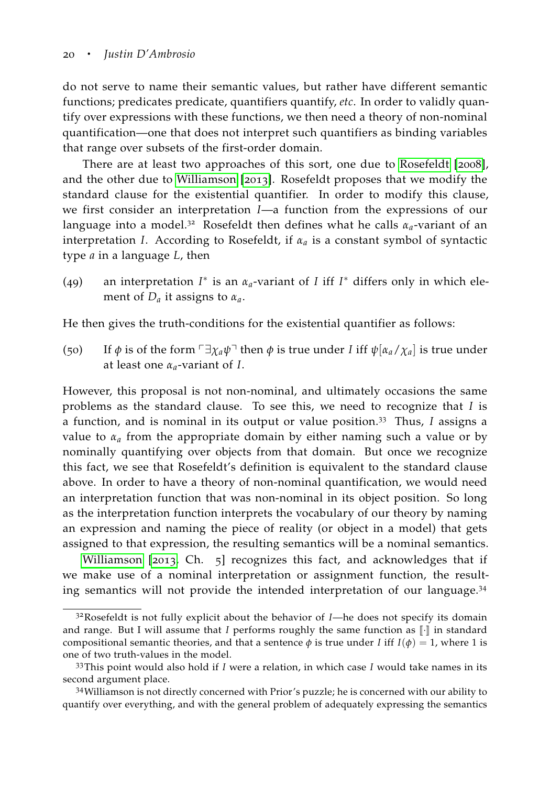do not serve to name their semantic values, but rather have different semantic functions; predicates predicate, quantifiers quantify, *etc*. In order to validly quantify over expressions with these functions, we then need a theory of non-nominal quantification—one that does not interpret such quantifiers as binding variables that range over subsets of the first-order domain.

There are at least two approaches of this sort, one due to [Rosefeldt](#page-31-10) [[2008](#page-31-10)], and the other due to [Williamson](#page-31-4) [[2013](#page-31-4)]. Rosefeldt proposes that we modify the standard clause for the existential quantifier. In order to modify this clause, we first consider an interpretation *I*—a function from the expressions of our language into a model.<sup>32</sup> Rosefeldt then defines what he calls  $\alpha_a$ -variant of an interpretation *I*. According to Rosefeldt, if  $\alpha_a$  is a constant symbol of syntactic type *a* in a language *L*, then

(49) an interpretation  $I^*$  is an  $\alpha_a$ -variant of *I* iff  $I^*$  differs only in which element of  $D_a$  it assigns to  $\alpha_a$ .

He then gives the truth-conditions for the existential quantifier as follows:

(50) If *φ* is of the form  $\Box$ *χa* $ψ$ <sup> $¬$ </sup> then *φ* is true under *I* iff  $ψ[α<sub>a</sub>/χ<sub>a</sub>]$  is true under at least one *αa*-variant of *I*.

However, this proposal is not non-nominal, and ultimately occasions the same problems as the standard clause. To see this, we need to recognize that *I* is a function, and is nominal in its output or value position.<sup>33</sup> Thus, *I* assigns a value to  $\alpha_a$  from the appropriate domain by either naming such a value or by nominally quantifying over objects from that domain. But once we recognize this fact, we see that Rosefeldt's definition is equivalent to the standard clause above. In order to have a theory of non-nominal quantification, we would need an interpretation function that was non-nominal in its object position. So long as the interpretation function interprets the vocabulary of our theory by naming an expression and naming the piece of reality (or object in a model) that gets assigned to that expression, the resulting semantics will be a nominal semantics.

[Williamson](#page-31-4) [[2013](#page-31-4), Ch. 5] recognizes this fact, and acknowledges that if we make use of a nominal interpretation or assignment function, the resulting semantics will not provide the intended interpretation of our language.<sup>34</sup>

<sup>32</sup>Rosefeldt is not fully explicit about the behavior of *I*—he does not specify its domain and range. But I will assume that *I* performs roughly the same function as  $\lbrack \cdot \rbrack$  in standard compositional semantic theories, and that a sentence  $\phi$  is true under *I* iff  $I(\phi) = 1$ , where 1 is one of two truth-values in the model.

<sup>33</sup>This point would also hold if *I* were a relation, in which case *I* would take names in its second argument place.

<sup>34</sup>Williamson is not directly concerned with Prior's puzzle; he is concerned with our ability to quantify over everything, and with the general problem of adequately expressing the semantics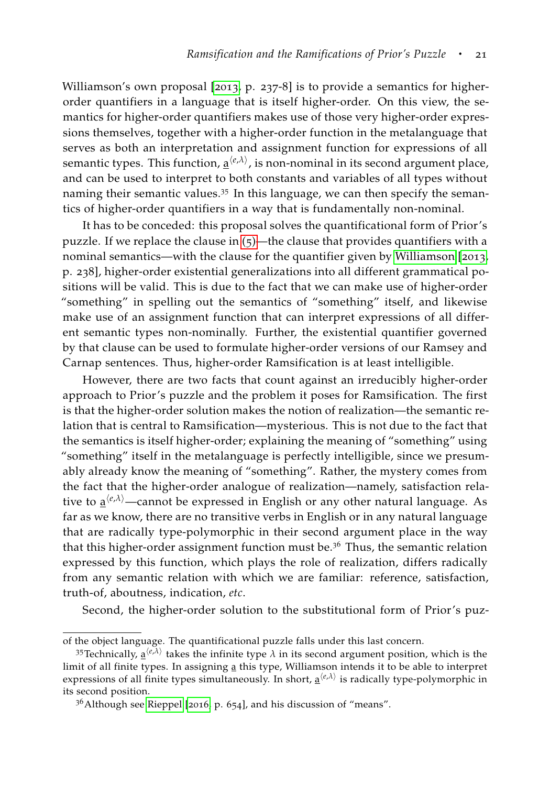Williamson's own proposal [[2013](#page-31-4), p. 237-8] is to provide a semantics for higherorder quantifiers in a language that is itself higher-order. On this view, the semantics for higher-order quantifiers makes use of those very higher-order expressions themselves, together with a higher-order function in the metalanguage that serves as both an interpretation and assignment function for expressions of all semantic types. This function*,* <u>a</u><sup>(e,λ)</sup>, is non-nominal in its second argument place, and can be used to interpret to both constants and variables of all types without naming their semantic values.<sup>35</sup> In this language, we can then specify the semantics of higher-order quantifiers in a way that is fundamentally non-nominal.

It has to be conceded: this proposal solves the quantificational form of Prior's puzzle. If we replace the clause in (5[\)—](#page-5-3)the clause that provides quantifiers with a nominal semantics—with the clause for the quantifier given by [Williamson](#page-31-4) [[2013](#page-31-4), p. 238], higher-order existential generalizations into all different grammatical positions will be valid. This is due to the fact that we can make use of higher-order "something" in spelling out the semantics of "something" itself, and likewise make use of an assignment function that can interpret expressions of all different semantic types non-nominally. Further, the existential quantifier governed by that clause can be used to formulate higher-order versions of our Ramsey and Carnap sentences. Thus, higher-order Ramsification is at least intelligible.

However, there are two facts that count against an irreducibly higher-order approach to Prior's puzzle and the problem it poses for Ramsification. The first is that the higher-order solution makes the notion of realization—the semantic relation that is central to Ramsification—mysterious. This is not due to the fact that the semantics is itself higher-order; explaining the meaning of "something" using "something" itself in the metalanguage is perfectly intelligible, since we presumably already know the meaning of "something". Rather, the mystery comes from the fact that the higher-order analogue of realization—namely, satisfaction relative to <u>a</u><sup>(e,λ)</sup>—cannot be expressed in English or any other natural language. As far as we know, there are no transitive verbs in English or in any natural language that are radically type-polymorphic in their second argument place in the way that this higher-order assignment function must be.<sup>36</sup> Thus, the semantic relation expressed by this function, which plays the role of realization, differs radically from any semantic relation with which we are familiar: reference, satisfaction, truth-of, aboutness, indication, *etc*.

Second, the higher-order solution to the substitutional form of Prior's puz-

of the object language. The quantificational puzzle falls under this last concern.

<sup>&</sup>lt;sup>35</sup>Technically,  $\underline{a}^{\langle e,\lambda\rangle}$  takes the infinite type  $\lambda$  in its second argument position, which is the limit of all finite types. In assigning a this type, Williamson intends it to be able to interpret expressions of all finite types simultaneously. In short,  $\underline{a}^{\langle e,\lambda\rangle}$  is radically type-polymorphic in its second position.

 $36$ Although see [Rieppel](#page-31-6) [[2016](#page-31-6), p. 654], and his discussion of "means".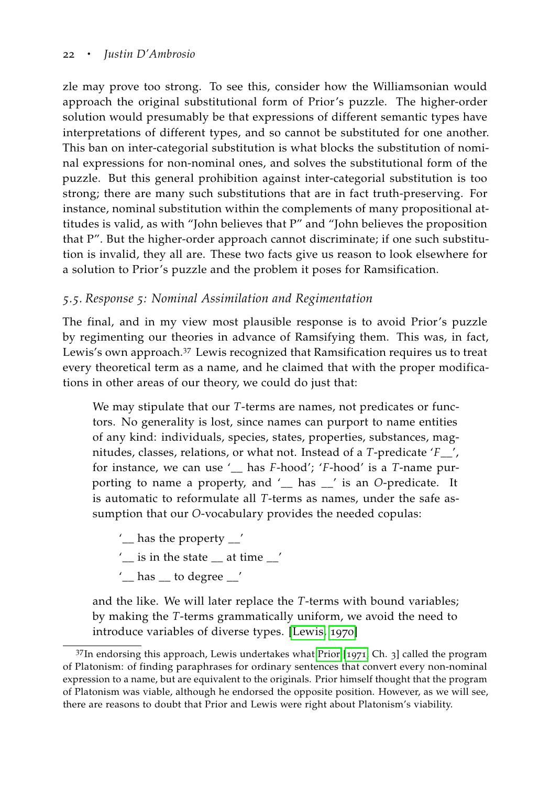zle may prove too strong. To see this, consider how the Williamsonian would approach the original substitutional form of Prior's puzzle. The higher-order solution would presumably be that expressions of different semantic types have interpretations of different types, and so cannot be substituted for one another. This ban on inter-categorial substitution is what blocks the substitution of nominal expressions for non-nominal ones, and solves the substitutional form of the puzzle. But this general prohibition against inter-categorial substitution is too strong; there are many such substitutions that are in fact truth-preserving. For instance, nominal substitution within the complements of many propositional attitudes is valid, as with "John believes that P" and "John believes the proposition that P". But the higher-order approach cannot discriminate; if one such substitution is invalid, they all are. These two facts give us reason to look elsewhere for a solution to Prior's puzzle and the problem it poses for Ramsification.

## *5.5. Response 5: Nominal Assimilation and Regimentation*

The final, and in my view most plausible response is to avoid Prior's puzzle by regimenting our theories in advance of Ramsifying them. This was, in fact, Lewis's own approach.<sup>37</sup> Lewis recognized that Ramsification requires us to treat every theoretical term as a name, and he claimed that with the proper modifications in other areas of our theory, we could do just that:

We may stipulate that our *T*-terms are names, not predicates or functors. No generality is lost, since names can purport to name entities of any kind: individuals, species, states, properties, substances, magnitudes, classes, relations, or what not. Instead of a *T*-predicate '*F*\_\_', for instance, we can use '\_\_ has *F*-hood'; '*F*-hood' is a *T*-name purporting to name a property, and '\_\_ has \_\_' is an *O*-predicate. It is automatic to reformulate all *T*-terms as names, under the safe assumption that our *O*-vocabulary provides the needed copulas:

- $\prime$ <sub>—</sub> has the property  $\prime$
- $\prime$ <sub>--</sub> is in the state <sub>--</sub> at time  $\frac{1}{2}$
- $'$ <sub>—</sub> has <sub>—</sub> to degree  $\frac{1}{2}$

and the like. We will later replace the *T*-terms with bound variables; by making the *T*-terms grammatically uniform, we avoid the need to introduce variables of diverse types. [\[Lewis,](#page-30-0) [1970](#page-30-0)]

 $37$ In endorsing this approach, Lewis undertakes what [Prior](#page-30-19) [[1971](#page-30-19), Ch. 3] called the program of Platonism: of finding paraphrases for ordinary sentences that convert every non-nominal expression to a name, but are equivalent to the originals. Prior himself thought that the program of Platonism was viable, although he endorsed the opposite position. However, as we will see, there are reasons to doubt that Prior and Lewis were right about Platonism's viability.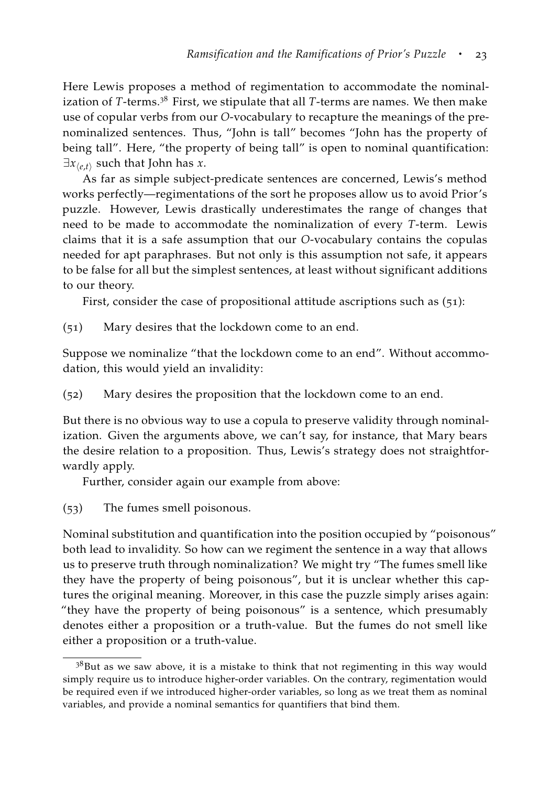Here Lewis proposes a method of regimentation to accommodate the nominalization of *T*-terms.<sup>38</sup> First, we stipulate that all *T*-terms are names. We then make use of copular verbs from our *O*-vocabulary to recapture the meanings of the prenominalized sentences. Thus, "John is tall" becomes "John has the property of being tall". Here, "the property of being tall" is open to nominal quantification:  $\exists x_{\langle e,t\rangle}$  such that John has *x*.

As far as simple subject-predicate sentences are concerned, Lewis's method works perfectly—regimentations of the sort he proposes allow us to avoid Prior's puzzle. However, Lewis drastically underestimates the range of changes that need to be made to accommodate the nominalization of every *T*-term. Lewis claims that it is a safe assumption that our *O*-vocabulary contains the copulas needed for apt paraphrases. But not only is this assumption not safe, it appears to be false for all but the simplest sentences, at least without significant additions to our theory.

First, consider the case of propositional attitude ascriptions such as (51):

(51) Mary desires that the lockdown come to an end.

Suppose we nominalize "that the lockdown come to an end". Without accommodation, this would yield an invalidity:

(52) Mary desires the proposition that the lockdown come to an end.

But there is no obvious way to use a copula to preserve validity through nominalization. Given the arguments above, we can't say, for instance, that Mary bears the desire relation to a proposition. Thus, Lewis's strategy does not straightforwardly apply.

Further, consider again our example from above:

(53) The fumes smell poisonous.

Nominal substitution and quantification into the position occupied by "poisonous" both lead to invalidity. So how can we regiment the sentence in a way that allows us to preserve truth through nominalization? We might try "The fumes smell like they have the property of being poisonous", but it is unclear whether this captures the original meaning. Moreover, in this case the puzzle simply arises again: "they have the property of being poisonous" is a sentence, which presumably denotes either a proposition or a truth-value. But the fumes do not smell like either a proposition or a truth-value.

 $3<sup>8</sup>B$ ut as we saw above, it is a mistake to think that not regimenting in this way would simply require us to introduce higher-order variables. On the contrary, regimentation would be required even if we introduced higher-order variables, so long as we treat them as nominal variables, and provide a nominal semantics for quantifiers that bind them.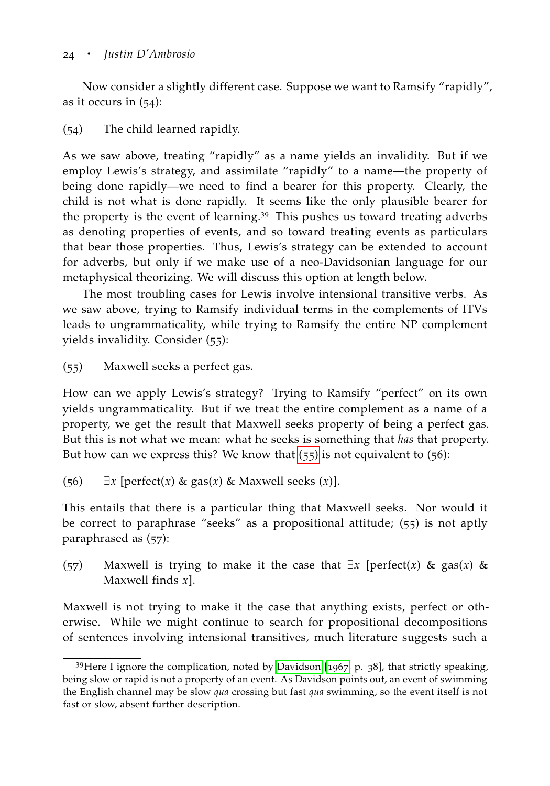Now consider a slightly different case. Suppose we want to Ramsify "rapidly", as it occurs in (54):

(54) The child learned rapidly.

As we saw above, treating "rapidly" as a name yields an invalidity. But if we employ Lewis's strategy, and assimilate "rapidly" to a name—the property of being done rapidly—we need to find a bearer for this property. Clearly, the child is not what is done rapidly. It seems like the only plausible bearer for the property is the event of learning.<sup>39</sup> This pushes us toward treating adverbs as denoting properties of events, and so toward treating events as particulars that bear those properties. Thus, Lewis's strategy can be extended to account for adverbs, but only if we make use of a neo-Davidsonian language for our metaphysical theorizing. We will discuss this option at length below.

The most troubling cases for Lewis involve intensional transitive verbs. As we saw above, trying to Ramsify individual terms in the complements of ITVs leads to ungrammaticality, while trying to Ramsify the entire NP complement yields invalidity. Consider (55):

<span id="page-23-0"></span>(55) Maxwell seeks a perfect gas.

How can we apply Lewis's strategy? Trying to Ramsify "perfect" on its own yields ungrammaticality. But if we treat the entire complement as a name of a property, we get the result that Maxwell seeks property of being a perfect gas. But this is not what we mean: what he seeks is something that *has* that property. But how can we express this? We know that  $(55)$  $(55)$  $(55)$  is not equivalent to  $(56)$ :

(56) ∃*x* [perfect(*x*) & gas(*x*) & Maxwell seeks (*x*)].

This entails that there is a particular thing that Maxwell seeks. Nor would it be correct to paraphrase "seeks" as a propositional attitude; (55) is not aptly paraphrased as (57):

(57) Maxwell is trying to make it the case that ∃*x* [perfect(*x*) & gas(*x*) & Maxwell finds *x*].

Maxwell is not trying to make it the case that anything exists, perfect or otherwise. While we might continue to search for propositional decompositions of sentences involving intensional transitives, much literature suggests such a

 $39$ Here I ignore the complication, noted by [Davidson](#page-29-14) [[1967](#page-29-14), p. 38], that strictly speaking, being slow or rapid is not a property of an event. As Davidson points out, an event of swimming the English channel may be slow *qua* crossing but fast *qua* swimming, so the event itself is not fast or slow, absent further description.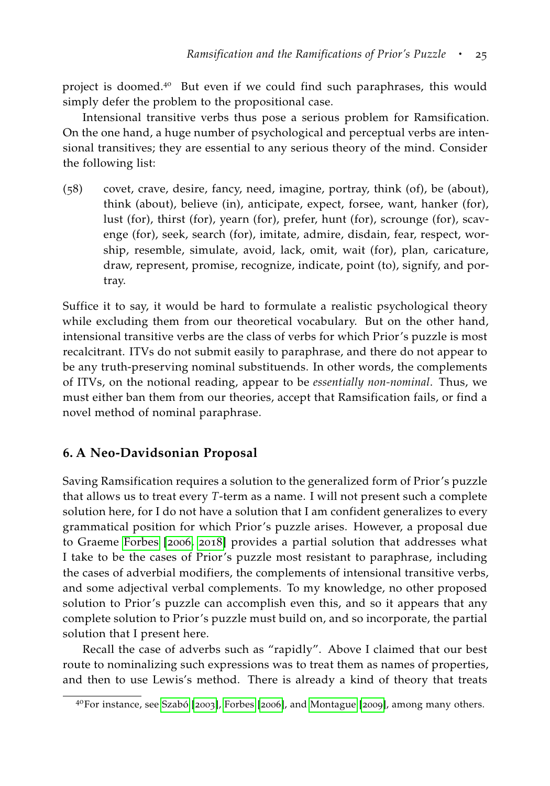project is doomed.<sup>40</sup> But even if we could find such paraphrases, this would simply defer the problem to the propositional case.

Intensional transitive verbs thus pose a serious problem for Ramsification. On the one hand, a huge number of psychological and perceptual verbs are intensional transitives; they are essential to any serious theory of the mind. Consider the following list:

(58) covet, crave, desire, fancy, need, imagine, portray, think (of), be (about), think (about), believe (in), anticipate, expect, forsee, want, hanker (for), lust (for), thirst (for), yearn (for), prefer, hunt (for), scrounge (for), scavenge (for), seek, search (for), imitate, admire, disdain, fear, respect, worship, resemble, simulate, avoid, lack, omit, wait (for), plan, caricature, draw, represent, promise, recognize, indicate, point (to), signify, and portray.

Suffice it to say, it would be hard to formulate a realistic psychological theory while excluding them from our theoretical vocabulary. But on the other hand, intensional transitive verbs are the class of verbs for which Prior's puzzle is most recalcitrant. ITVs do not submit easily to paraphrase, and there do not appear to be any truth-preserving nominal substituends. In other words, the complements of ITVs, on the notional reading, appear to be *essentially non-nominal*. Thus, we must either ban them from our theories, accept that Ramsification fails, or find a novel method of nominal paraphrase.

## **6. A Neo-Davidsonian Proposal**

Saving Ramsification requires a solution to the generalized form of Prior's puzzle that allows us to treat every *T*-term as a name. I will not present such a complete solution here, for I do not have a solution that I am confident generalizes to every grammatical position for which Prior's puzzle arises. However, a proposal due to Graeme [Forbes](#page-29-13) [[2006](#page-29-13), [2018](#page-29-7)] provides a partial solution that addresses what I take to be the cases of Prior's puzzle most resistant to paraphrase, including the cases of adverbial modifiers, the complements of intensional transitive verbs, and some adjectival verbal complements. To my knowledge, no other proposed solution to Prior's puzzle can accomplish even this, and so it appears that any complete solution to Prior's puzzle must build on, and so incorporate, the partial solution that I present here.

Recall the case of adverbs such as "rapidly". Above I claimed that our best route to nominalizing such expressions was to treat them as names of properties, and then to use Lewis's method. There is already a kind of theory that treats

<sup>40</sup>For instance, see [Szabó](#page-31-11) [[2003](#page-31-11)], [Forbes](#page-29-13) [[2006](#page-29-13)], and [Montague](#page-30-20) [[2009](#page-30-20)], among many others.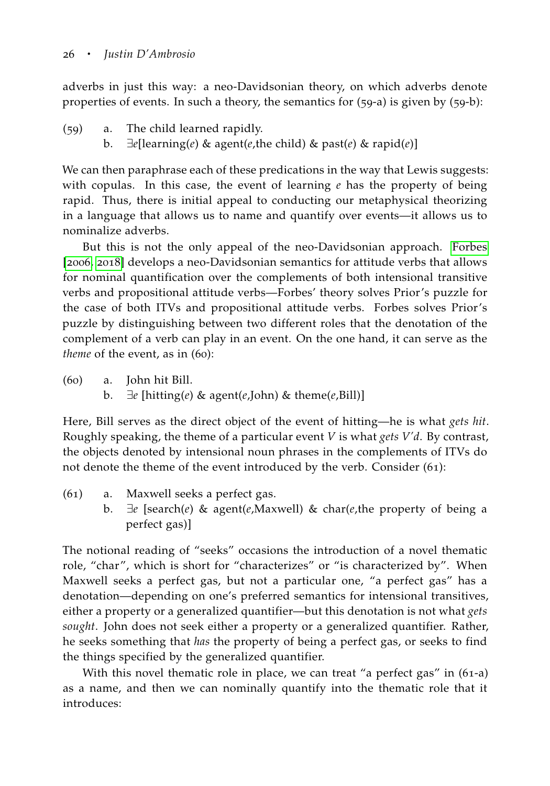adverbs in just this way: a neo-Davidsonian theory, on which adverbs denote properties of events. In such a theory, the semantics for (59-a) is given by (59-b):

- (59) a. The child learned rapidly.
	- b. ∃*e*[learning(*e*) & agent(*e*,the child) & past(*e*) & rapid(*e*)]

We can then paraphrase each of these predications in the way that Lewis suggests: with copulas. In this case, the event of learning *e* has the property of being rapid. Thus, there is initial appeal to conducting our metaphysical theorizing in a language that allows us to name and quantify over events—it allows us to nominalize adverbs.

But this is not the only appeal of the neo-Davidsonian approach. [Forbes](#page-29-13) [[2006](#page-29-13), [2018](#page-29-7)] develops a neo-Davidsonian semantics for attitude verbs that allows for nominal quantification over the complements of both intensional transitive verbs and propositional attitude verbs—Forbes' theory solves Prior's puzzle for the case of both ITVs and propositional attitude verbs. Forbes solves Prior's puzzle by distinguishing between two different roles that the denotation of the complement of a verb can play in an event. On the one hand, it can serve as the *theme* of the event, as in (60):

(60) a. John hit Bill. b. ∃*e* [hitting(*e*) & agent(*e*,John) & theme(*e*,Bill)]

Here, Bill serves as the direct object of the event of hitting—he is what *gets hit*. Roughly speaking, the theme of a particular event *V* is what *gets V'd*. By contrast, the objects denoted by intensional noun phrases in the complements of ITVs do not denote the theme of the event introduced by the verb. Consider (61):

- (61) a. Maxwell seeks a perfect gas.
	- b. ∃*e* [search(*e*) & agent(*e*,Maxwell) & char(*e*,the property of being a perfect gas)]

The notional reading of "seeks" occasions the introduction of a novel thematic role, "char", which is short for "characterizes" or "is characterized by". When Maxwell seeks a perfect gas, but not a particular one, "a perfect gas" has a denotation—depending on one's preferred semantics for intensional transitives, either a property or a generalized quantifier—but this denotation is not what *gets sought*. John does not seek either a property or a generalized quantifier. Rather, he seeks something that *has* the property of being a perfect gas, or seeks to find the things specified by the generalized quantifier.

With this novel thematic role in place, we can treat "a perfect gas" in (61-a) as a name, and then we can nominally quantify into the thematic role that it introduces: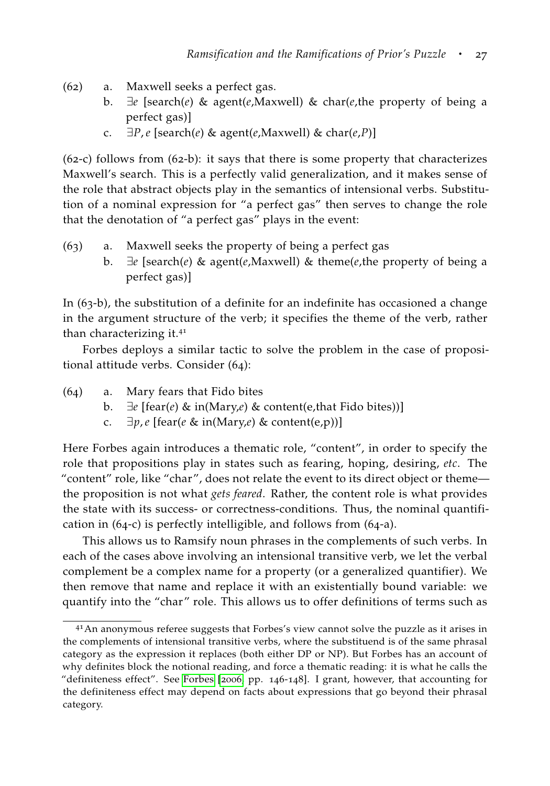- (62) a. Maxwell seeks a perfect gas.
	- b. ∃*e* [search(*e*) & agent(*e*,Maxwell) & char(*e*,the property of being a perfect gas)]
	- c. ∃*P*,*e* [search(*e*) & agent(*e*,Maxwell) & char(*e*,*P*)]

(62-c) follows from (62-b): it says that there is some property that characterizes Maxwell's search. This is a perfectly valid generalization, and it makes sense of the role that abstract objects play in the semantics of intensional verbs. Substitution of a nominal expression for "a perfect gas" then serves to change the role that the denotation of "a perfect gas" plays in the event:

- (63) a. Maxwell seeks the property of being a perfect gas
	- b. ∃*e* [search(*e*) & agent(*e*,Maxwell) & theme(*e*,the property of being a perfect gas)]

In (63-b), the substitution of a definite for an indefinite has occasioned a change in the argument structure of the verb; it specifies the theme of the verb, rather than characterizing it.<sup>41</sup>

Forbes deploys a similar tactic to solve the problem in the case of propositional attitude verbs. Consider (64):

- (64) a. Mary fears that Fido bites
	- b. ∃*e* [fear(*e*) & in(Mary,*e*) & content(e,that Fido bites))]
	- c. ∃*p*,*e* [fear(*e* & in(Mary,*e*) & content(e,p))]

Here Forbes again introduces a thematic role, "content", in order to specify the role that propositions play in states such as fearing, hoping, desiring, *etc*. The "content" role, like "char", does not relate the event to its direct object or theme the proposition is not what *gets feared*. Rather, the content role is what provides the state with its success- or correctness-conditions. Thus, the nominal quantification in (64-c) is perfectly intelligible, and follows from (64-a).

This allows us to Ramsify noun phrases in the complements of such verbs. In each of the cases above involving an intensional transitive verb, we let the verbal complement be a complex name for a property (or a generalized quantifier). We then remove that name and replace it with an existentially bound variable: we quantify into the "char" role. This allows us to offer definitions of terms such as

<sup>41</sup>An anonymous referee suggests that Forbes's view cannot solve the puzzle as it arises in the complements of intensional transitive verbs, where the substituend is of the same phrasal category as the expression it replaces (both either DP or NP). But Forbes has an account of why definites block the notional reading, and force a thematic reading: it is what he calls the "definiteness effect". See [Forbes](#page-29-13) [[2006](#page-29-13), pp. 146-148]. I grant, however, that accounting for the definiteness effect may depend on facts about expressions that go beyond their phrasal category.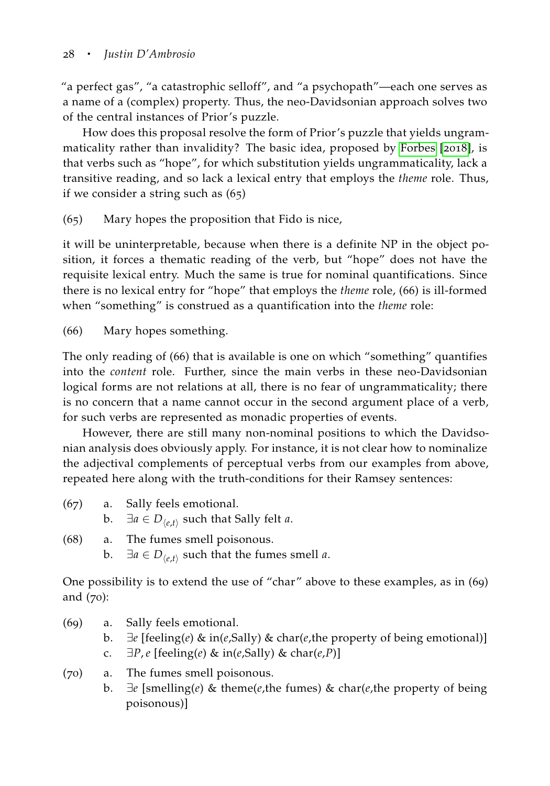"a perfect gas", "a catastrophic selloff", and "a psychopath"—each one serves as a name of a (complex) property. Thus, the neo-Davidsonian approach solves two of the central instances of Prior's puzzle.

How does this proposal resolve the form of Prior's puzzle that yields ungrammaticality rather than invalidity? The basic idea, proposed by [Forbes](#page-29-7) [[2018](#page-29-7)], is that verbs such as "hope", for which substitution yields ungrammaticality, lack a transitive reading, and so lack a lexical entry that employs the *theme* role. Thus, if we consider a string such as (65)

(65) Mary hopes the proposition that Fido is nice,

it will be uninterpretable, because when there is a definite NP in the object position, it forces a thematic reading of the verb, but "hope" does not have the requisite lexical entry. Much the same is true for nominal quantifications. Since there is no lexical entry for "hope" that employs the *theme* role, (66) is ill-formed when "something" is construed as a quantification into the *theme* role:

(66) Mary hopes something.

The only reading of (66) that is available is one on which "something" quantifies into the *content* role. Further, since the main verbs in these neo-Davidsonian logical forms are not relations at all, there is no fear of ungrammaticality; there is no concern that a name cannot occur in the second argument place of a verb, for such verbs are represented as monadic properties of events.

However, there are still many non-nominal positions to which the Davidsonian analysis does obviously apply. For instance, it is not clear how to nominalize the adjectival complements of perceptual verbs from our examples from above, repeated here along with the truth-conditions for their Ramsey sentences:

| (67) | a. Sally feels emotional.                                                  |
|------|----------------------------------------------------------------------------|
|      | b. $\exists a \in D_{\langle e,t \rangle}$ such that Sally felt <i>a</i> . |
|      | (68) a. The fumes smell poisonous.                                         |

**b**.  $∃a ∈ D_{\langle e,t \rangle}$  such that the fumes smell *a*.

One possibility is to extend the use of "char" above to these examples, as in (69) and (70):

- (69) a. Sally feels emotional.
	- b. ∃*e* [feeling(*e*) & in(*e*,Sally) & char(*e*,the property of being emotional)] c. ∃*P*,*e* [feeling(*e*) & in(*e*,Sally) & char(*e*,*P*)]

(70) a. The fumes smell poisonous.

b. ∃*e* [smelling(*e*) & theme(*e*,the fumes) & char(*e*,the property of being poisonous)]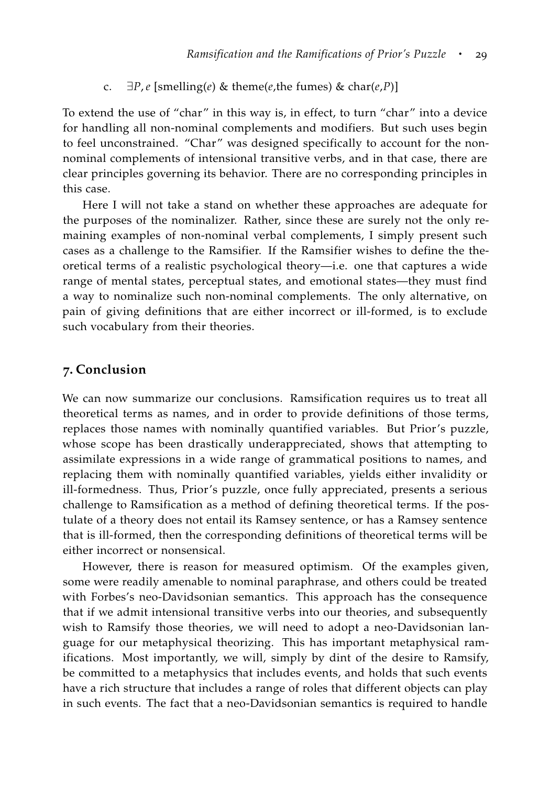c. ∃*P*,*e* [smelling(*e*) & theme(*e*,the fumes) & char(*e*,*P*)]

To extend the use of "char" in this way is, in effect, to turn "char" into a device for handling all non-nominal complements and modifiers. But such uses begin to feel unconstrained. "Char" was designed specifically to account for the nonnominal complements of intensional transitive verbs, and in that case, there are clear principles governing its behavior. There are no corresponding principles in this case.

Here I will not take a stand on whether these approaches are adequate for the purposes of the nominalizer. Rather, since these are surely not the only remaining examples of non-nominal verbal complements, I simply present such cases as a challenge to the Ramsifier. If the Ramsifier wishes to define the theoretical terms of a realistic psychological theory—i.e. one that captures a wide range of mental states, perceptual states, and emotional states—they must find a way to nominalize such non-nominal complements. The only alternative, on pain of giving definitions that are either incorrect or ill-formed, is to exclude such vocabulary from their theories.

#### **7. Conclusion**

We can now summarize our conclusions. Ramsification requires us to treat all theoretical terms as names, and in order to provide definitions of those terms, replaces those names with nominally quantified variables. But Prior's puzzle, whose scope has been drastically underappreciated, shows that attempting to assimilate expressions in a wide range of grammatical positions to names, and replacing them with nominally quantified variables, yields either invalidity or ill-formedness. Thus, Prior's puzzle, once fully appreciated, presents a serious challenge to Ramsification as a method of defining theoretical terms. If the postulate of a theory does not entail its Ramsey sentence, or has a Ramsey sentence that is ill-formed, then the corresponding definitions of theoretical terms will be either incorrect or nonsensical.

However, there is reason for measured optimism. Of the examples given, some were readily amenable to nominal paraphrase, and others could be treated with Forbes's neo-Davidsonian semantics. This approach has the consequence that if we admit intensional transitive verbs into our theories, and subsequently wish to Ramsify those theories, we will need to adopt a neo-Davidsonian language for our metaphysical theorizing. This has important metaphysical ramifications. Most importantly, we will, simply by dint of the desire to Ramsify, be committed to a metaphysics that includes events, and holds that such events have a rich structure that includes a range of roles that different objects can play in such events. The fact that a neo-Davidsonian semantics is required to handle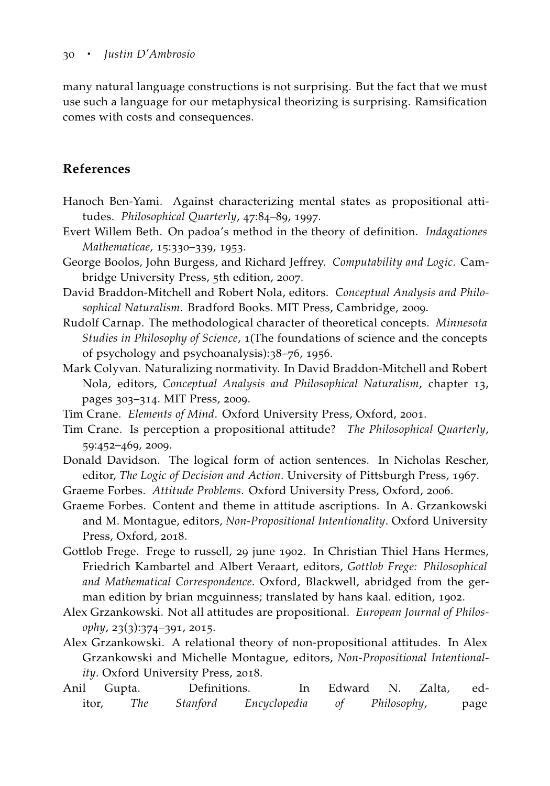many natural language constructions is not surprising. But the fact that we must use such a language for our metaphysical theorizing is surprising. Ramsification comes with costs and consequences.

## **References**

- <span id="page-29-9"></span>Hanoch Ben-Yami. Against characterizing mental states as propositional attitudes. *Philosophical Quarterly*, 47:84–89, 1997.
- <span id="page-29-3"></span>Evert Willem Beth. On padoa's method in the theory of definition. *Indagationes Mathematicae*, 15:330–339, 1953.
- <span id="page-29-4"></span>George Boolos, John Burgess, and Richard Jeffrey. *Computability and Logic*. Cambridge University Press, 5th edition, 2007.
- <span id="page-29-2"></span>David Braddon-Mitchell and Robert Nola, editors. *Conceptual Analysis and Philosophical Naturalism*. Bradford Books. MIT Press, Cambridge, 2009.
- <span id="page-29-0"></span>Rudolf Carnap. The methodological character of theoretical concepts. *Minnesota Studies in Philosophy of Science*, 1(The foundations of science and the concepts of psychology and psychoanalysis):38–76, 1956.
- <span id="page-29-1"></span>Mark Colyvan. Naturalizing normativity. In David Braddon-Mitchell and Robert Nola, editors, *Conceptual Analysis and Philosophical Naturalism*, chapter 13, pages 303–314. MIT Press, 2009.
- <span id="page-29-11"></span>Tim Crane. *Elements of Mind*. Oxford University Press, Oxford, 2001.
- <span id="page-29-10"></span>Tim Crane. Is perception a propositional attitude? *The Philosophical Quarterly*, 59:452–469, 2009.
- <span id="page-29-14"></span>Donald Davidson. The logical form of action sentences. In Nicholas Rescher, editor, *The Logic of Decision and Action*. University of Pittsburgh Press, 1967.
- <span id="page-29-13"></span>Graeme Forbes. *Attitude Problems*. Oxford University Press, Oxford, 2006.
- <span id="page-29-7"></span>Graeme Forbes. Content and theme in attitude ascriptions. In A. Grzankowski and M. Montague, editors, *Non-Propositional Intentionality*. Oxford University Press, Oxford, 2018.
- <span id="page-29-6"></span>Gottlob Frege. Frege to russell, 29 june 1902. In Christian Thiel Hans Hermes, Friedrich Kambartel and Albert Veraart, editors, *Gottlob Frege: Philosophical and Mathematical Correspondence*. Oxford, Blackwell, abridged from the german edition by brian mcguinness; translated by hans kaal. edition, 1902.
- <span id="page-29-12"></span>Alex Grzankowski. Not all attitudes are propositional. *European Journal of Philosophy*, 23(3):374–391, 2015.
- <span id="page-29-8"></span>Alex Grzankowski. A relational theory of non-propositional attitudes. In Alex Grzankowski and Michelle Montague, editors, *Non-Propositional Intentionality*. Oxford University Press, 2018.
- <span id="page-29-5"></span>Anil Gupta. Definitions. In Edward N. Zalta, editor, *The Stanford Encyclopedia of Philosophy*, page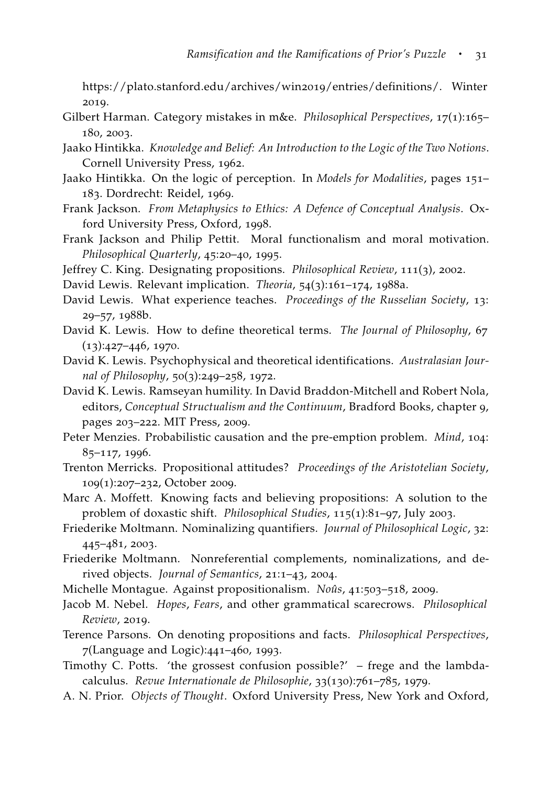https://plato.stanford.edu/archives/win2019/entries/definitions/. Winter 2019.

- <span id="page-30-15"></span>Gilbert Harman. Category mistakes in m&e. *Philosophical Perspectives*, 17(1):165– 180, 2003.
- <span id="page-30-17"></span>Jaako Hintikka. *Knowledge and Belief: An Introduction to the Logic of the Two Notions*. Cornell University Press, 1962.
- <span id="page-30-18"></span>Jaako Hintikka. On the logic of perception. In *Models for Modalities*, pages 151– 183. Dordrecht: Reidel, 1969.
- <span id="page-30-6"></span>Frank Jackson. *From Metaphysics to Ethics: A Defence of Conceptual Analysis*. Oxford University Press, Oxford, 1998.
- <span id="page-30-5"></span>Frank Jackson and Philip Pettit. Moral functionalism and moral motivation. *Philosophical Quarterly*, 45:20–40, 1995.
- <span id="page-30-9"></span>Jeffrey C. King. Designating propositions. *Philosophical Review*, 111(3), 2002.
- <span id="page-30-8"></span>David Lewis. Relevant implication. *Theoria*, 54(3):161–174, 1988a.
- <span id="page-30-2"></span>David Lewis. What experience teaches. *Proceedings of the Russelian Society*, 13: 29–57, 1988b.
- <span id="page-30-0"></span>David K. Lewis. How to define theoretical terms. *The Journal of Philosophy*, 67 (13):427–446, 1970.
- <span id="page-30-1"></span>David K. Lewis. Psychophysical and theoretical identifications. *Australasian Journal of Philosophy*, 50(3):249–258, 1972.
- <span id="page-30-3"></span>David K. Lewis. Ramseyan humility. In David Braddon-Mitchell and Robert Nola, editors, *Conceptual Structualism and the Continuum*, Bradford Books, chapter 9, pages 203–222. MIT Press, 2009.
- <span id="page-30-4"></span>Peter Menzies. Probabilistic causation and the pre-emption problem. *Mind*, 104: 85–117, 1996.
- <span id="page-30-16"></span>Trenton Merricks. Propositional attitudes? *Proceedings of the Aristotelian Society*, 109(1):207–232, October 2009.
- <span id="page-30-13"></span>Marc A. Moffett. Knowing facts and believing propositions: A solution to the problem of doxastic shift. *Philosophical Studies*, 115(1):81–97, July 2003.
- <span id="page-30-10"></span>Friederike Moltmann. Nominalizing quantifiers. *Journal of Philosophical Logic*, 32: 445–481, 2003.
- <span id="page-30-11"></span>Friederike Moltmann. Nonreferential complements, nominalizations, and derived objects. *Journal of Semantics*, 21:1–43, 2004.
- <span id="page-30-20"></span>Michelle Montague. Against propositionalism. *Noûs*, 41:503–518, 2009.
- <span id="page-30-7"></span>Jacob M. Nebel. *Hopes*, *Fears*, and other grammatical scarecrows. *Philosophical Review*, 2019.
- <span id="page-30-14"></span>Terence Parsons. On denoting propositions and facts. *Philosophical Perspectives*, 7(Language and Logic):441–460, 1993.
- <span id="page-30-12"></span>Timothy C. Potts. 'the grossest confusion possible?' – frege and the lambdacalculus. *Revue Internationale de Philosophie*, 33(130):761–785, 1979.
- <span id="page-30-19"></span>A. N. Prior. *Objects of Thought*. Oxford University Press, New York and Oxford,